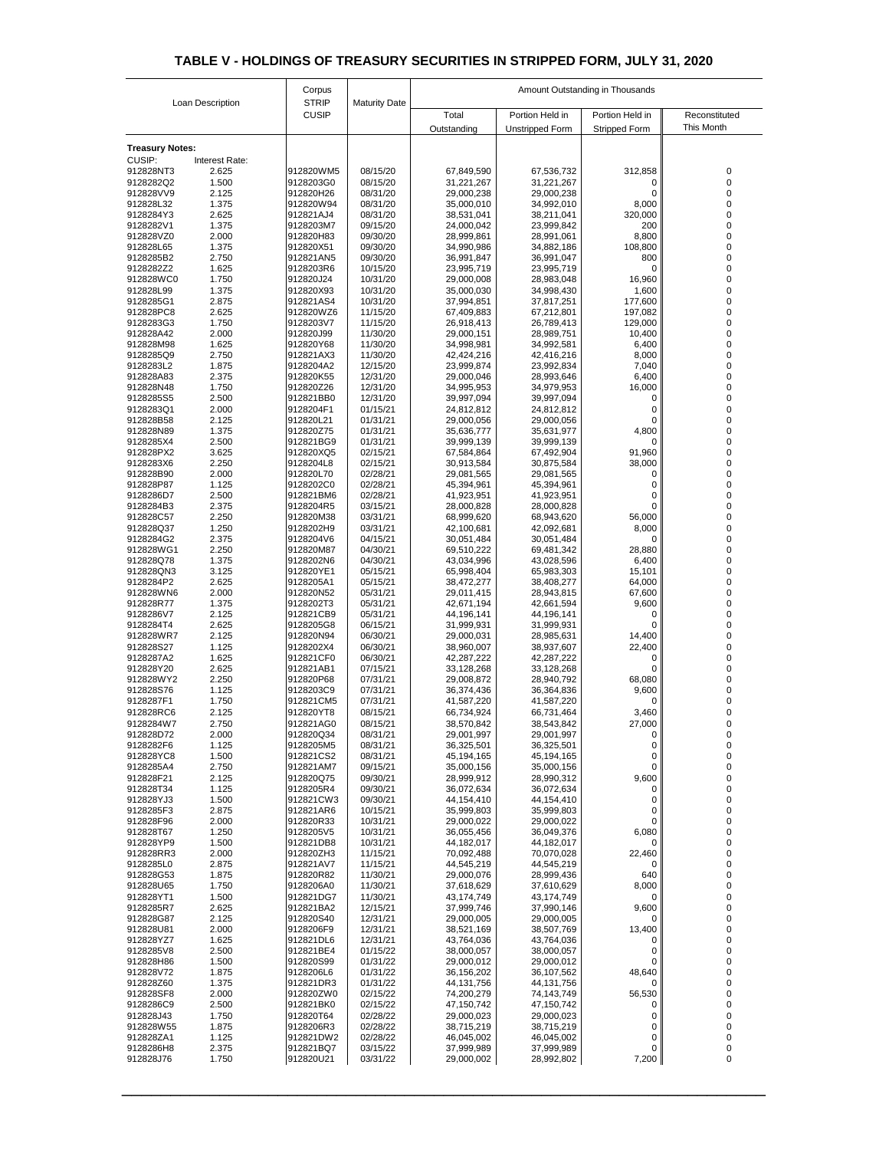| Loan Description           |                         | Corpus                       | <b>Maturity Date</b> | Amount Outstanding in Thousands |                          |                      |               |  |
|----------------------------|-------------------------|------------------------------|----------------------|---------------------------------|--------------------------|----------------------|---------------|--|
|                            |                         | <b>STRIP</b><br><b>CUSIP</b> |                      | Total                           | Portion Held in          | Portion Held in      | Reconstituted |  |
|                            |                         |                              |                      | Outstanding                     | <b>Unstripped Form</b>   | <b>Stripped Form</b> | This Month    |  |
| <b>Treasury Notes:</b>     |                         |                              |                      |                                 |                          |                      |               |  |
| <b>CUSIP:</b><br>912828NT3 | Interest Rate:<br>2.625 | 912820WM5                    | 08/15/20             | 67,849,590                      | 67,536,732               | 312,858              | 0             |  |
| 9128282Q2                  | 1.500                   | 9128203G0                    | 08/15/20             | 31,221,267                      | 31,221,267               | 0                    |               |  |
| 912828VV9                  | 2.125                   | 912820H26                    | 08/31/20             | 29,000,238                      | 29,000,238               | 0                    |               |  |
| 912828L32                  | 1.375                   | 912820W94                    | 08/31/20             | 35,000,010                      | 34,992,010               | 8,000                |               |  |
| 9128284Y3<br>9128282V1     | 2.625<br>1.375          | 912821AJ4<br>9128203M7       | 08/31/20<br>09/15/20 | 38,531,041<br>24,000,042        | 38,211,041<br>23,999,842 | 320,000<br>200       |               |  |
| 912828VZ0                  | 2.000                   | 912820H83                    | 09/30/20             | 28,999,861                      | 28,991,061               | 8,800                |               |  |
| 912828L65                  | 1.375                   | 912820X51                    | 09/30/20             | 34,990,986                      | 34,882,186               | 108,800              |               |  |
| 9128285B2<br>9128282Z2     | 2.750<br>1.625          | 912821AN5<br>9128203R6       | 09/30/20<br>10/15/20 | 36,991,847<br>23,995,719        | 36,991,047<br>23,995,719 | 800<br>0             |               |  |
| 912828WC0                  | 1.750                   | 912820J24                    | 10/31/20             | 29,000,008                      | 28,983,048               | 16,960               |               |  |
| 912828L99                  | 1.375                   | 912820X93                    | 10/31/20             | 35,000,030                      | 34,998,430               | 1,600                |               |  |
| 9128285G1                  | 2.875                   | 912821AS4                    | 10/31/20             | 37,994,851                      | 37,817,251               | 177,600              |               |  |
| 912828PC8<br>9128283G3     | 2.625<br>1.750          | 912820WZ6<br>9128203V7       | 11/15/20<br>11/15/20 | 67,409,883<br>26,918,413        | 67,212,801<br>26,789,413 | 197,082<br>129,000   |               |  |
| 912828A42                  | 2.000                   | 912820J99                    | 11/30/20             | 29,000,151                      | 28,989,751               | 10,400               |               |  |
| 912828M98                  | 1.625                   | 912820Y68                    | 11/30/20             | 34,998,981                      | 34,992,581               | 6,400                | 0             |  |
| 9128285Q9                  | 2.750                   | 912821AX3                    | 11/30/20             | 42,424,216                      | 42,416,216               | 8,000                |               |  |
| 9128283L2<br>912828A83     | 1.875<br>2.375          | 9128204A2<br>912820K55       | 12/15/20<br>12/31/20 | 23,999,874<br>29,000,046        | 23,992,834<br>28,993,646 | 7,040<br>6,400       |               |  |
| 912828N48                  | 1.750                   | 912820Z26                    | 12/31/20             | 34,995,953                      | 34,979,953               | 16,000               |               |  |
| 9128285S5                  | 2.500                   | 912821BB0                    | 12/31/20             | 39,997,094                      | 39,997,094               | $\Omega$             |               |  |
| 9128283Q1                  | 2.000                   | 9128204F1                    | 01/15/21             | 24,812,812                      | 24,812,812               | $\Omega$             |               |  |
| 912828B58<br>912828N89     | 2.125<br>1.375          | 912820L21<br>912820Z75       | 01/31/21<br>01/31/21 | 29,000,056<br>35,636,777        | 29,000,056<br>35,631,977 | 0<br>4,800           |               |  |
| 9128285X4                  | 2.500                   | 912821BG9                    | 01/31/21             | 39,999,139                      | 39,999,139               | 0                    |               |  |
| 912828PX2                  | 3.625                   | 912820XQ5                    | 02/15/21             | 67,584,864                      | 67,492,904               | 91,960               |               |  |
| 9128283X6<br>912828B90     | 2.250                   | 9128204L8<br>912820L70       | 02/15/21             | 30,913,584                      | 30,875,584               | 38,000               |               |  |
| 912828P87                  | 2.000<br>1.125          | 9128202C0                    | 02/28/21<br>02/28/21 | 29,081,565<br>45,394,961        | 29,081,565<br>45,394,961 | 0                    |               |  |
| 9128286D7                  | 2.500                   | 912821BM6                    | 02/28/21             | 41,923,951                      | 41,923,951               |                      |               |  |
| 9128284B3                  | 2.375                   | 9128204R5                    | 03/15/21             | 28,000,828                      | 28,000,828               | $\Omega$             |               |  |
| 912828C57<br>912828Q37     | 2.250<br>1.250          | 912820M38<br>9128202H9       | 03/31/21<br>03/31/21 | 68,999,620<br>42,100,681        | 68,943,620<br>42,092,681 | 56,000<br>8,000      |               |  |
| 9128284G2                  | 2.375                   | 9128204V6                    | 04/15/21             | 30,051,484                      | 30,051,484               | $\Omega$             |               |  |
| 912828WG1                  | 2.250                   | 912820M87                    | 04/30/21             | 69,510,222                      | 69,481,342               | 28,880               |               |  |
| 912828Q78                  | 1.375                   | 9128202N6                    | 04/30/21             | 43,034,996                      | 43,028,596               | 6,400                |               |  |
| 912828QN3<br>9128284P2     | 3.125<br>2.625          | 912820YE1<br>9128205A1       | 05/15/21<br>05/15/21 | 65,998,404<br>38,472,277        | 65,983,303<br>38,408,277 | 15,101<br>64,000     |               |  |
| 912828WN6                  | 2.000                   | 912820N52                    | 05/31/21             | 29,011,415                      | 28,943,815               | 67,600               |               |  |
| 912828R77                  | 1.375                   | 9128202T3                    | 05/31/21             | 42,671,194                      | 42,661,594               | 9,600                |               |  |
| 9128286V7                  | 2.125                   | 912821CB9                    | 05/31/21             | 44,196,141                      | 44,196,141               |                      |               |  |
| 9128284T4<br>912828WR7     | 2.625<br>2.125          | 9128205G8<br>912820N94       | 06/15/21<br>06/30/21 | 31,999,931<br>29,000,031        | 31,999,931<br>28,985,631 | 14,400               |               |  |
| 912828S27                  | 1.125                   | 9128202X4                    | 06/30/21             | 38,960,007                      | 38,937,607               | 22,400               |               |  |
| 9128287A2                  | 1.625                   | 912821CF0                    | 06/30/21             | 42,287,222                      | 42,287,222               | $\Omega$             |               |  |
| 912828Y20<br>912828WY2     | 2.625<br>2.250          | 912821AB1<br>912820P68       | 07/15/21<br>07/31/21 | 33,128,268<br>29,008,872        | 33,128,268<br>28,940,792 | 0<br>68,080          |               |  |
| 912828S76                  | 1.125                   | 9128203C9                    | 07/31/21             | 36,374,436                      | 36,364,836               | 9,600                |               |  |
| 9128287F1                  | 1.750                   | 912821CM5                    | 07/31/21             | 41,587,220                      | 41,587,220               | 0                    |               |  |
| 912828RC6                  | 2.125                   | 912820YT8                    | 08/15/21             | 66,734,924                      | 66,731,464               | 3,460                |               |  |
| 9128284W7<br>912828D72     | 2.750<br>2.000          | 912821AG0<br>912820Q34       | 08/15/21<br>08/31/21 | 38,570,842<br>29,001,997        | 38,543,842<br>29,001,997 | 27,000<br>$\Omega$   |               |  |
| 9128282F6                  | 1.125                   | 9128205M5                    | 08/31/21             | 36,325,501                      | 36,325,501               |                      |               |  |
| 912828YC8                  | 1.500                   | 912821CS2                    | 08/31/21             | 45,194,165                      | 45,194,165               |                      |               |  |
| 9128285A4                  | 2.750                   | 912821AM7                    | 09/15/21             | 35,000,156                      | 35,000,156               | 0                    |               |  |
| 912828F21<br>912828T34     | 2.125<br>1.125          | 912820Q75<br>9128205R4       | 09/30/21<br>09/30/21 | 28,999,912<br>36,072,634        | 28,990,312<br>36,072,634 | 9,600<br>0           |               |  |
| 912828YJ3                  | 1.500                   | 912821CW3                    | 09/30/21             | 44,154,410                      | 44,154,410               |                      |               |  |
| 9128285F3                  | 2.875                   | 912821AR6                    | 10/15/21             | 35,999,803                      | 35,999,803               | 0                    |               |  |
| 912828F96                  | 2.000                   | 912820R33<br>9128205V5       | 10/31/21             | 29,000,022                      | 29,000,022               | 0                    |               |  |
| 912828T67<br>912828YP9     | 1.250<br>1.500          | 912821DB8                    | 10/31/21<br>10/31/21 | 36,055,456<br>44,182,017        | 36,049,376<br>44,182,017 | 6,080<br>$\Omega$    |               |  |
| 912828RR3                  | 2.000                   | 912820ZH3                    | 11/15/21             | 70,092,488                      | 70,070,028               | 22,460               |               |  |
| 9128285L0                  | 2.875                   | 912821AV7                    | 11/15/21             | 44,545,219                      | 44,545,219               | 0                    |               |  |
| 912828G53<br>912828U65     | 1.875<br>1.750          | 912820R82<br>9128206A0       | 11/30/21<br>11/30/21 | 29,000,076<br>37,618,629        | 28,999,436<br>37,610,629 | 640<br>8,000         |               |  |
| 912828YT1                  | 1.500                   | 912821DG7                    | 11/30/21             | 43,174,749                      | 43,174,749               | 0                    |               |  |
| 9128285R7                  | 2.625                   | 912821BA2                    | 12/15/21             | 37,999,746                      | 37,990,146               | 9,600                |               |  |
| 912828G87                  | 2.125                   | 912820S40                    | 12/31/21             | 29,000,005                      | 29,000,005               | $\Omega$             |               |  |
| 912828U81<br>912828YZ7     | 2.000<br>1.625          | 9128206F9<br>912821DL6       | 12/31/21<br>12/31/21 | 38,521,169<br>43,764,036        | 38,507,769<br>43,764,036 | 13,400<br>0          |               |  |
| 9128285V8                  | 2.500                   | 912821BE4                    | 01/15/22             | 38,000,057                      | 38,000,057               |                      |               |  |
| 912828H86                  | 1.500                   | 912820S99                    | 01/31/22             | 29,000,012                      | 29,000,012               | $\Omega$             |               |  |
| 912828V72                  | 1.875                   | 9128206L6                    | 01/31/22             | 36,156,202                      | 36,107,562               | 48,640               |               |  |
| 912828Z60<br>912828SF8     | 1.375<br>2.000          | 912821DR3<br>912820ZW0       | 01/31/22<br>02/15/22 | 44, 131, 756<br>74,200,279      | 44,131,756<br>74,143,749 | 0<br>56,530          |               |  |
| 9128286C9                  | 2.500                   | 912821BK0                    | 02/15/22             | 47,150,742                      | 47,150,742               | $\Omega$             |               |  |
| 912828J43                  | 1.750                   | 912820T64                    | 02/28/22             | 29,000,023                      | 29,000,023               |                      |               |  |
| 912828W55<br>912828ZA1     | 1.875<br>1.125          | 9128206R3<br>912821DW2       | 02/28/22<br>02/28/22 | 38,715,219<br>46,045,002        | 38,715,219<br>46,045,002 | 0<br>0               |               |  |
| 9128286H8                  | 2.375                   | 912821BQ7                    | 03/15/22             | 37,999,989                      | 37,999,989               | 0                    |               |  |
| 912828J76                  | 1.750                   | 912820U21                    | 03/31/22             | 29,000,002                      | 28,992,802               | 7,200                | 0             |  |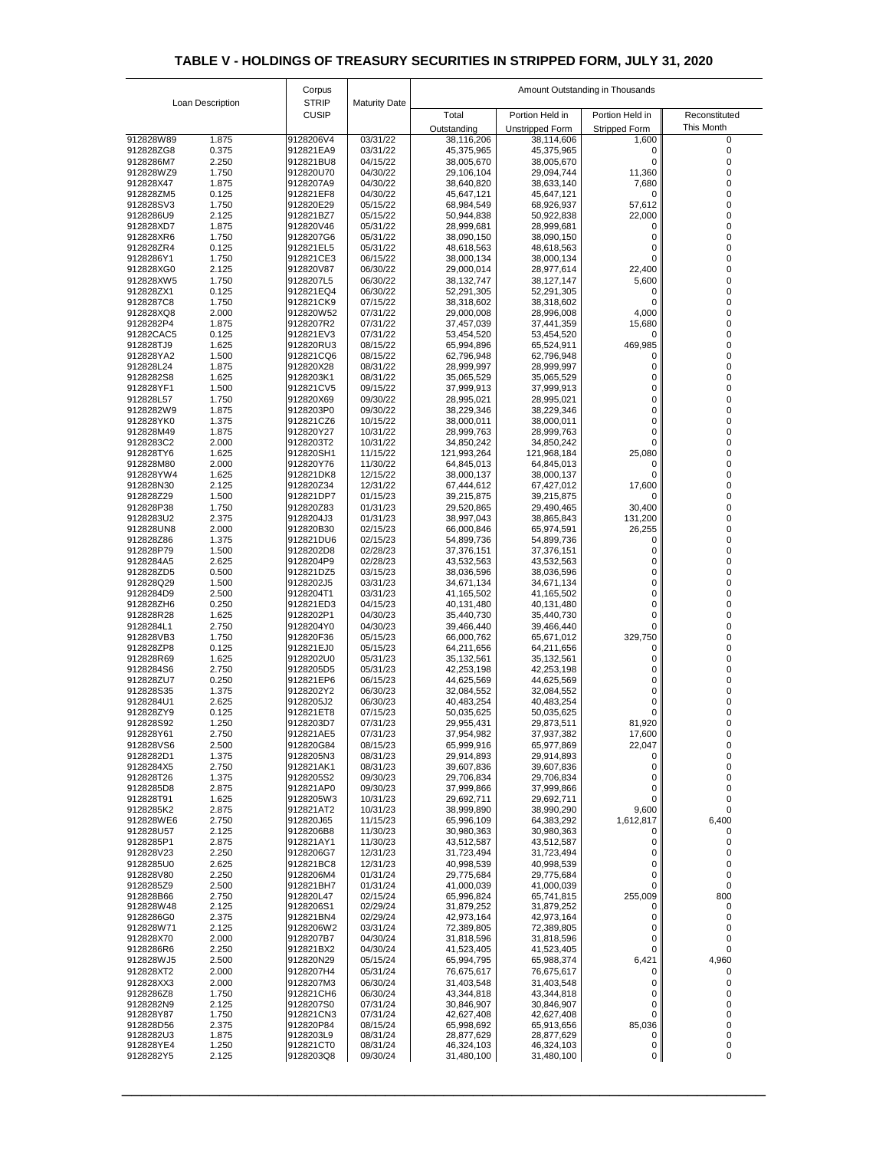| <b>STRIP</b><br>Loan Description<br><b>Maturity Date</b><br><b>CUSIP</b><br>Total<br>Portion Held in<br>Portion Held in<br>Reconstituted<br>This Month<br>Unstripped Form<br><b>Stripped Form</b><br>Outstanding<br>1.875<br>03/31/22<br>912828W89<br>9128206V4<br>38,116,206<br>38,114,606<br>1,600<br>0<br>03/31/22<br>912828ZG8<br>0.375<br>912821EA9<br>45,375,965<br>45,375,965<br>2.250<br>9128286M7<br>912821BU8<br>04/15/22<br>38,005,670<br>38,005,670<br>11,360<br>912828WZ9<br>1.750<br>912820U70<br>04/30/22<br>29,106,104<br>29,094,744<br>1.875<br>912828X47<br>9128207A9<br>04/30/22<br>38,640,820<br>38,633,140<br>7,680<br>0.125<br>912821EF8<br>912828ZM5<br>04/30/22<br>45,647,121<br>45,647,121<br>0<br>57,612<br>912828SV3<br>1.750<br>912820E29<br>05/15/22<br>68,984,549<br>68,926,937<br>2.125<br>22,000<br>9128286U9<br>912821BZ7<br>05/15/22<br>50,944,838<br>50,922,838<br>1.875<br>912828XD7<br>912820V46<br>05/31/22<br>28,999,681<br>28,999,681<br>912828XR6<br>1.750<br>9128207G6<br>05/31/22<br>38,090,150<br>38,090,150<br>0.125<br>912821EL5<br>912828ZR4<br>05/31/22<br>48,618,563<br>48,618,563<br>9128286Y1<br>1.750<br>912821CE3<br>06/15/22<br>38,000,134<br>38,000,134<br>2.125<br>22,400<br>912828XG0<br>912820V87<br>06/30/22<br>29,000,014<br>28,977,614<br>5,600<br>912828XW5<br>1.750<br>9128207L5<br>06/30/22<br>38,132,747<br>38,127,147<br>0.125<br>912828ZX1<br>912821EQ4<br>06/30/22<br>52,291,305<br>52,291,305<br>1.750<br>07/15/22<br>9128287C8<br>912821CK9<br>38,318,602<br>38,318,602<br>4,000<br>912828XQ8<br>2.000<br>912820W52<br>07/31/22<br>29,000,008<br>28,996,008<br>1.875<br>15,680<br>9128282P4<br>9128207R2<br>07/31/22<br>37,457,039<br>37,441,359<br>0.125<br>91282CAC5<br>912821EV3<br>07/31/22<br>53,454,520<br>53,454,520<br>0<br>469,985<br>1.625<br>912828TJ9<br>912820RU3<br>08/15/22<br>65,994,896<br>65,524,911<br>0<br>1.500<br>912828YA2<br>912821CQ6<br>08/15/22<br>62,796,948<br>62,796,948<br>912828L24<br>1.875<br>912820X28<br>08/31/22<br>28,999,997<br>28,999,997<br>9128282S8<br>1.625<br>9128203K1<br>08/31/22<br>35,065,529<br>35,065,529<br>0<br>1.500<br>912821CV5<br>912828YF1<br>09/15/22<br>37,999,913<br>37,999,913<br>0<br>912828L57<br>1.750<br>912820X69<br>09/30/22<br>28,995,021<br>28,995,021<br>0<br>1.875<br>9128282W9<br>9128203P0<br>09/30/22<br>38,229,346<br>38,229,346<br>0<br>912821CZ6<br>10/15/22<br>38,000,011<br>38,000,011<br>912828YK0<br>1.375<br>0<br>912828M49<br>1.875<br>912820Y27<br>10/31/22<br>28,999,763<br>28,999,763<br>0<br>9128283C2<br>2.000<br>9128203T2<br>10/31/22<br>34,850,242<br>34,850,242<br>1.625<br>25,080<br>912828TY6<br>912820SH1<br>11/15/22<br>121,993,264<br>121,968,184<br>2.000<br>912828M80<br>912820Y76<br>11/30/22<br>64,845,013<br>64,845,013<br>1.625<br>912821DK8<br>12/15/22<br>912828YW4<br>38,000,137<br>38,000,137<br>2.125<br>17,600<br>912828N30<br>912820Z34<br>12/31/22<br>67,444,612<br>67,427,012<br>1.500<br>912821DP7<br>01/15/23<br>912828Z29<br>39,215,875<br>39,215,875<br>30,400<br>912828P38<br>1.750<br>912820Z83<br>01/31/23<br>29,520,865<br>29,490,465<br>9128283U2<br>2.375<br>9128204J3<br>01/31/23<br>38,997,043<br>131,200<br>38,865,843<br>2.000<br>912820B30<br>26,255<br>912828UN8<br>02/15/23<br>66,000,846<br>65,974,591<br>912828Z86<br>1.375<br>912821DU6<br>02/15/23<br>54,899,736<br>54,899,736<br>0<br>9128202D8<br>912828P79<br>1.500<br>02/28/23<br>37,376,151<br>37,376,151<br>2.625<br>9128204P9<br>02/28/23<br>9128284A5<br>43,532,563<br>43,532,563<br>0.500<br>912828ZD5<br>912821DZ5<br>03/15/23<br>38,036,596<br>38,036,596<br>1.500<br>912828Q29<br>9128202J5<br>03/31/23<br>34,671,134<br>34,671,134<br>9128284D9<br>2.500<br>9128204T1<br>03/31/23<br>41,165,502<br>41,165,502<br>912828ZH6<br>0.250<br>912821ED3<br>04/15/23<br>40,131,480<br>40,131,480<br>1.625<br>9128202P1<br>912828R28<br>04/30/23<br>35,440,730<br>35,440,730<br>9128284L1<br>2.750<br>9128204Y0<br>04/30/23<br>39,466,440<br>39,466,440<br>329,750<br>1.750<br>912828VB3<br>912820F36<br>05/15/23<br>66,000,762<br>65,671,012<br>0.125<br>912828ZP8<br>912821EJ0<br>05/15/23<br>64,211,656<br>64,211,656<br>0<br>912828R69<br>1.625<br>9128202U0<br>05/31/23<br>35,132,561<br>35,132,561<br>2.750<br>9128205D5<br>9128284S6<br>05/31/23<br>42,253,198<br>42,253,198<br>912828ZU7<br>0.250<br>912821EP6<br>06/15/23<br>44,625,569<br>44,625,569<br>912828S35<br>1.375<br>9128202Y2<br>06/30/23<br>32,084,552<br>32,084,552<br>9128284U1<br>2.625<br>9128205J2<br>06/30/23<br>40,483,254<br>40,483,254<br>0.125<br>912828ZY9<br>912821ET8<br>07/15/23<br>50,035,625<br>50,035,625<br>1.250<br>9128203D7<br>81,920<br>912828S92<br>07/31/23<br>29,955,431<br>29,873,511<br>17,600<br>912828Y61<br>2.750<br>912821AE5<br>07/31/23<br>37,954,982<br>37,937,382<br>22,047<br>912828VS6<br>2.500<br>912820G84<br>08/15/23<br>65,999,916<br>65,977,869<br>9128282D1<br>1.375<br>9128205N3<br>08/31/23<br>29,914,893<br>29,914,893<br>0 I<br>912821AK1<br>08/31/23<br>39,607,836<br>39,607,836<br>9128284X5<br>2.750<br>0<br>0<br>1.375<br>9128205S2<br>09/30/23<br>912828T26<br>29,706,834<br>29,706,834<br>0<br>9128285D8<br>2.875<br>912821AP0<br>09/30/23<br>37,999,866<br>37,999,866<br>0<br>1.625<br>912828T91<br>9128205W3<br>10/31/23<br>29,692,711<br>29,692,711<br>9,600<br>2.875<br>912821AT2<br>10/31/23<br>9128285K2<br>38,999,890<br>38,990,290<br>1,612,817<br>2.750<br>6,400<br>912828WE6<br>912820J65<br>11/15/23<br>65,996,109<br>64,383,292<br>2.125<br>912828U57<br>9128206B8<br>11/30/23<br>30,980,363<br>30,980,363<br>2.875<br>9128285P1<br>912821AY1<br>11/30/23<br>43,512,587<br>43,512,587<br>2.250<br>12/31/23<br>912828V23<br>9128206G7<br>31,723,494<br>31,723,494<br>0<br>2.625<br>912821BC8<br>12/31/23<br>9128285U0<br>40,998,539<br>40,998,539<br>0<br>2.250<br>912828V80<br>9128206M4<br>01/31/24<br>29,775,684<br>29,775,684<br>9128285Z9<br>2.500<br>912821BH7<br>01/31/24<br>41,000,039<br>41,000,039<br>800<br>255,009<br>2.750<br>912820L47<br>02/15/24<br>65,996,824<br>65,741,815<br>912828B66<br>2.125<br>912828W48<br>9128206S1<br>02/29/24<br>31,879,252<br>31,879,252<br>2.375<br>9128286G0<br>912821BN4<br>02/29/24<br>42,973,164<br>42,973,164<br>2.125<br>9128206W2<br>03/31/24<br>912828W71<br>72,389,805<br>72,389,805<br>2.000<br>912828X70<br>9128207B7<br>04/30/24<br>31,818,596<br>31,818,596<br>0<br>2.250<br>9128286R6<br>912821BX2<br>04/30/24<br>41,523,405<br>41,523,405<br>0<br>6,421<br>4,960<br>2.500<br>912820N29<br>05/15/24<br>912828WJ5<br>65,994,795<br>65,988,374<br>912828XT2<br>2.000<br>9128207H4<br>05/31/24<br>76,675,617<br>76,675,617<br>2.000<br>06/30/24<br>912828XX3<br>9128207M3<br>31,403,548<br>31,403,548<br>1.750<br>06/30/24<br>9128286Z8<br>912821CH6<br>43,344,818<br>43,344,818<br>0<br>2.125<br>9128207S0<br>07/31/24<br>9128282N9<br>30,846,907<br>30,846,907<br>0<br>912828Y87<br>1.750<br>912821CN3<br>07/31/24<br>42,627,408<br>42,627,408<br>0<br>85,036<br>2.375<br>08/15/24<br>912828D56<br>912820P84<br>65,998,692<br>65,913,656<br>1.875<br>9128282U3<br>9128203L9<br>08/31/24<br>28,877,629<br>28,877,629<br>0<br>1.250<br>912821CT0<br>912828YE4<br>08/31/24<br>46,324,103<br>46,324,103<br>0<br>$\overline{0}$<br>9128282Y5<br>2.125<br>9128203Q8<br>09/30/24<br>31,480,100<br>31,480,100<br>0 |  |  | Corpus |  | Amount Outstanding in Thousands |  |  |  |
|---------------------------------------------------------------------------------------------------------------------------------------------------------------------------------------------------------------------------------------------------------------------------------------------------------------------------------------------------------------------------------------------------------------------------------------------------------------------------------------------------------------------------------------------------------------------------------------------------------------------------------------------------------------------------------------------------------------------------------------------------------------------------------------------------------------------------------------------------------------------------------------------------------------------------------------------------------------------------------------------------------------------------------------------------------------------------------------------------------------------------------------------------------------------------------------------------------------------------------------------------------------------------------------------------------------------------------------------------------------------------------------------------------------------------------------------------------------------------------------------------------------------------------------------------------------------------------------------------------------------------------------------------------------------------------------------------------------------------------------------------------------------------------------------------------------------------------------------------------------------------------------------------------------------------------------------------------------------------------------------------------------------------------------------------------------------------------------------------------------------------------------------------------------------------------------------------------------------------------------------------------------------------------------------------------------------------------------------------------------------------------------------------------------------------------------------------------------------------------------------------------------------------------------------------------------------------------------------------------------------------------------------------------------------------------------------------------------------------------------------------------------------------------------------------------------------------------------------------------------------------------------------------------------------------------------------------------------------------------------------------------------------------------------------------------------------------------------------------------------------------------------------------------------------------------------------------------------------------------------------------------------------------------------------------------------------------------------------------------------------------------------------------------------------------------------------------------------------------------------------------------------------------------------------------------------------------------------------------------------------------------------------------------------------------------------------------------------------------------------------------------------------------------------------------------------------------------------------------------------------------------------------------------------------------------------------------------------------------------------------------------------------------------------------------------------------------------------------------------------------------------------------------------------------------------------------------------------------------------------------------------------------------------------------------------------------------------------------------------------------------------------------------------------------------------------------------------------------------------------------------------------------------------------------------------------------------------------------------------------------------------------------------------------------------------------------------------------------------------------------------------------------------------------------------------------------------------------------------------------------------------------------------------------------------------------------------------------------------------------------------------------------------------------------------------------------------------------------------------------------------------------------------------------------------------------------------------------------------------------------------------------------------------------------------------------------------------------------------------------------------------------------------------------------------------------------------------------------------------------------------------------------------------------------------------------------------------------------------------------------------------------------------------------------------------------------------------------------------------------------------------------------------------------------------------------------------------------------------------------------------------------------------------------------------------------------------------------------------------------------------------------------------------------------------------------------------------------------------------------------------------------------------------------------------------------------------------------------------------------------------------------------------------------------------------------------------------------------------------------------------------------------------------------------------------------------------------------------------------------------------------------------------------------------------------------------------------------------------------------------------------------------------------------------------------------------------------------------------------------------------------------------------------------------------------------------------------------------------------------------------------------------------------------------------------------------------------------------------------------------------------------------------------------------------------------------------------------------------------------------------------------------------------------------------------------------------------------------------------------------------------------------------------------------------------------------------------------------------------------------------|--|--|--------|--|---------------------------------|--|--|--|
|                                                                                                                                                                                                                                                                                                                                                                                                                                                                                                                                                                                                                                                                                                                                                                                                                                                                                                                                                                                                                                                                                                                                                                                                                                                                                                                                                                                                                                                                                                                                                                                                                                                                                                                                                                                                                                                                                                                                                                                                                                                                                                                                                                                                                                                                                                                                                                                                                                                                                                                                                                                                                                                                                                                                                                                                                                                                                                                                                                                                                                                                                                                                                                                                                                                                                                                                                                                                                                                                                                                                                                                                                                                                                                                                                                                                                                                                                                                                                                                                                                                                                                                                                                                                                                                                                                                                                                                                                                                                                                                                                                                                                                                                                                                                                                                                                                                                                                                                                                                                                                                                                                                                                                                                                                                                                                                                                                                                                                                                                                                                                                                                                                                                                                                                                                                                                                                                                                                                                                                                                                                                                                                                                                                                                                                                                                                                                                                                                                                                                                                                                                                                                                                                                                                                                                                                                                                                                                                                                                                                                                                                                                                                                                                                                                                                                                                                                                           |  |  |        |  |                                 |  |  |  |
|                                                                                                                                                                                                                                                                                                                                                                                                                                                                                                                                                                                                                                                                                                                                                                                                                                                                                                                                                                                                                                                                                                                                                                                                                                                                                                                                                                                                                                                                                                                                                                                                                                                                                                                                                                                                                                                                                                                                                                                                                                                                                                                                                                                                                                                                                                                                                                                                                                                                                                                                                                                                                                                                                                                                                                                                                                                                                                                                                                                                                                                                                                                                                                                                                                                                                                                                                                                                                                                                                                                                                                                                                                                                                                                                                                                                                                                                                                                                                                                                                                                                                                                                                                                                                                                                                                                                                                                                                                                                                                                                                                                                                                                                                                                                                                                                                                                                                                                                                                                                                                                                                                                                                                                                                                                                                                                                                                                                                                                                                                                                                                                                                                                                                                                                                                                                                                                                                                                                                                                                                                                                                                                                                                                                                                                                                                                                                                                                                                                                                                                                                                                                                                                                                                                                                                                                                                                                                                                                                                                                                                                                                                                                                                                                                                                                                                                                                                           |  |  |        |  |                                 |  |  |  |
|                                                                                                                                                                                                                                                                                                                                                                                                                                                                                                                                                                                                                                                                                                                                                                                                                                                                                                                                                                                                                                                                                                                                                                                                                                                                                                                                                                                                                                                                                                                                                                                                                                                                                                                                                                                                                                                                                                                                                                                                                                                                                                                                                                                                                                                                                                                                                                                                                                                                                                                                                                                                                                                                                                                                                                                                                                                                                                                                                                                                                                                                                                                                                                                                                                                                                                                                                                                                                                                                                                                                                                                                                                                                                                                                                                                                                                                                                                                                                                                                                                                                                                                                                                                                                                                                                                                                                                                                                                                                                                                                                                                                                                                                                                                                                                                                                                                                                                                                                                                                                                                                                                                                                                                                                                                                                                                                                                                                                                                                                                                                                                                                                                                                                                                                                                                                                                                                                                                                                                                                                                                                                                                                                                                                                                                                                                                                                                                                                                                                                                                                                                                                                                                                                                                                                                                                                                                                                                                                                                                                                                                                                                                                                                                                                                                                                                                                                                           |  |  |        |  |                                 |  |  |  |
|                                                                                                                                                                                                                                                                                                                                                                                                                                                                                                                                                                                                                                                                                                                                                                                                                                                                                                                                                                                                                                                                                                                                                                                                                                                                                                                                                                                                                                                                                                                                                                                                                                                                                                                                                                                                                                                                                                                                                                                                                                                                                                                                                                                                                                                                                                                                                                                                                                                                                                                                                                                                                                                                                                                                                                                                                                                                                                                                                                                                                                                                                                                                                                                                                                                                                                                                                                                                                                                                                                                                                                                                                                                                                                                                                                                                                                                                                                                                                                                                                                                                                                                                                                                                                                                                                                                                                                                                                                                                                                                                                                                                                                                                                                                                                                                                                                                                                                                                                                                                                                                                                                                                                                                                                                                                                                                                                                                                                                                                                                                                                                                                                                                                                                                                                                                                                                                                                                                                                                                                                                                                                                                                                                                                                                                                                                                                                                                                                                                                                                                                                                                                                                                                                                                                                                                                                                                                                                                                                                                                                                                                                                                                                                                                                                                                                                                                                                           |  |  |        |  |                                 |  |  |  |
|                                                                                                                                                                                                                                                                                                                                                                                                                                                                                                                                                                                                                                                                                                                                                                                                                                                                                                                                                                                                                                                                                                                                                                                                                                                                                                                                                                                                                                                                                                                                                                                                                                                                                                                                                                                                                                                                                                                                                                                                                                                                                                                                                                                                                                                                                                                                                                                                                                                                                                                                                                                                                                                                                                                                                                                                                                                                                                                                                                                                                                                                                                                                                                                                                                                                                                                                                                                                                                                                                                                                                                                                                                                                                                                                                                                                                                                                                                                                                                                                                                                                                                                                                                                                                                                                                                                                                                                                                                                                                                                                                                                                                                                                                                                                                                                                                                                                                                                                                                                                                                                                                                                                                                                                                                                                                                                                                                                                                                                                                                                                                                                                                                                                                                                                                                                                                                                                                                                                                                                                                                                                                                                                                                                                                                                                                                                                                                                                                                                                                                                                                                                                                                                                                                                                                                                                                                                                                                                                                                                                                                                                                                                                                                                                                                                                                                                                                                           |  |  |        |  |                                 |  |  |  |
|                                                                                                                                                                                                                                                                                                                                                                                                                                                                                                                                                                                                                                                                                                                                                                                                                                                                                                                                                                                                                                                                                                                                                                                                                                                                                                                                                                                                                                                                                                                                                                                                                                                                                                                                                                                                                                                                                                                                                                                                                                                                                                                                                                                                                                                                                                                                                                                                                                                                                                                                                                                                                                                                                                                                                                                                                                                                                                                                                                                                                                                                                                                                                                                                                                                                                                                                                                                                                                                                                                                                                                                                                                                                                                                                                                                                                                                                                                                                                                                                                                                                                                                                                                                                                                                                                                                                                                                                                                                                                                                                                                                                                                                                                                                                                                                                                                                                                                                                                                                                                                                                                                                                                                                                                                                                                                                                                                                                                                                                                                                                                                                                                                                                                                                                                                                                                                                                                                                                                                                                                                                                                                                                                                                                                                                                                                                                                                                                                                                                                                                                                                                                                                                                                                                                                                                                                                                                                                                                                                                                                                                                                                                                                                                                                                                                                                                                                                           |  |  |        |  |                                 |  |  |  |
|                                                                                                                                                                                                                                                                                                                                                                                                                                                                                                                                                                                                                                                                                                                                                                                                                                                                                                                                                                                                                                                                                                                                                                                                                                                                                                                                                                                                                                                                                                                                                                                                                                                                                                                                                                                                                                                                                                                                                                                                                                                                                                                                                                                                                                                                                                                                                                                                                                                                                                                                                                                                                                                                                                                                                                                                                                                                                                                                                                                                                                                                                                                                                                                                                                                                                                                                                                                                                                                                                                                                                                                                                                                                                                                                                                                                                                                                                                                                                                                                                                                                                                                                                                                                                                                                                                                                                                                                                                                                                                                                                                                                                                                                                                                                                                                                                                                                                                                                                                                                                                                                                                                                                                                                                                                                                                                                                                                                                                                                                                                                                                                                                                                                                                                                                                                                                                                                                                                                                                                                                                                                                                                                                                                                                                                                                                                                                                                                                                                                                                                                                                                                                                                                                                                                                                                                                                                                                                                                                                                                                                                                                                                                                                                                                                                                                                                                                                           |  |  |        |  |                                 |  |  |  |
|                                                                                                                                                                                                                                                                                                                                                                                                                                                                                                                                                                                                                                                                                                                                                                                                                                                                                                                                                                                                                                                                                                                                                                                                                                                                                                                                                                                                                                                                                                                                                                                                                                                                                                                                                                                                                                                                                                                                                                                                                                                                                                                                                                                                                                                                                                                                                                                                                                                                                                                                                                                                                                                                                                                                                                                                                                                                                                                                                                                                                                                                                                                                                                                                                                                                                                                                                                                                                                                                                                                                                                                                                                                                                                                                                                                                                                                                                                                                                                                                                                                                                                                                                                                                                                                                                                                                                                                                                                                                                                                                                                                                                                                                                                                                                                                                                                                                                                                                                                                                                                                                                                                                                                                                                                                                                                                                                                                                                                                                                                                                                                                                                                                                                                                                                                                                                                                                                                                                                                                                                                                                                                                                                                                                                                                                                                                                                                                                                                                                                                                                                                                                                                                                                                                                                                                                                                                                                                                                                                                                                                                                                                                                                                                                                                                                                                                                                                           |  |  |        |  |                                 |  |  |  |
|                                                                                                                                                                                                                                                                                                                                                                                                                                                                                                                                                                                                                                                                                                                                                                                                                                                                                                                                                                                                                                                                                                                                                                                                                                                                                                                                                                                                                                                                                                                                                                                                                                                                                                                                                                                                                                                                                                                                                                                                                                                                                                                                                                                                                                                                                                                                                                                                                                                                                                                                                                                                                                                                                                                                                                                                                                                                                                                                                                                                                                                                                                                                                                                                                                                                                                                                                                                                                                                                                                                                                                                                                                                                                                                                                                                                                                                                                                                                                                                                                                                                                                                                                                                                                                                                                                                                                                                                                                                                                                                                                                                                                                                                                                                                                                                                                                                                                                                                                                                                                                                                                                                                                                                                                                                                                                                                                                                                                                                                                                                                                                                                                                                                                                                                                                                                                                                                                                                                                                                                                                                                                                                                                                                                                                                                                                                                                                                                                                                                                                                                                                                                                                                                                                                                                                                                                                                                                                                                                                                                                                                                                                                                                                                                                                                                                                                                                                           |  |  |        |  |                                 |  |  |  |
|                                                                                                                                                                                                                                                                                                                                                                                                                                                                                                                                                                                                                                                                                                                                                                                                                                                                                                                                                                                                                                                                                                                                                                                                                                                                                                                                                                                                                                                                                                                                                                                                                                                                                                                                                                                                                                                                                                                                                                                                                                                                                                                                                                                                                                                                                                                                                                                                                                                                                                                                                                                                                                                                                                                                                                                                                                                                                                                                                                                                                                                                                                                                                                                                                                                                                                                                                                                                                                                                                                                                                                                                                                                                                                                                                                                                                                                                                                                                                                                                                                                                                                                                                                                                                                                                                                                                                                                                                                                                                                                                                                                                                                                                                                                                                                                                                                                                                                                                                                                                                                                                                                                                                                                                                                                                                                                                                                                                                                                                                                                                                                                                                                                                                                                                                                                                                                                                                                                                                                                                                                                                                                                                                                                                                                                                                                                                                                                                                                                                                                                                                                                                                                                                                                                                                                                                                                                                                                                                                                                                                                                                                                                                                                                                                                                                                                                                                                           |  |  |        |  |                                 |  |  |  |
|                                                                                                                                                                                                                                                                                                                                                                                                                                                                                                                                                                                                                                                                                                                                                                                                                                                                                                                                                                                                                                                                                                                                                                                                                                                                                                                                                                                                                                                                                                                                                                                                                                                                                                                                                                                                                                                                                                                                                                                                                                                                                                                                                                                                                                                                                                                                                                                                                                                                                                                                                                                                                                                                                                                                                                                                                                                                                                                                                                                                                                                                                                                                                                                                                                                                                                                                                                                                                                                                                                                                                                                                                                                                                                                                                                                                                                                                                                                                                                                                                                                                                                                                                                                                                                                                                                                                                                                                                                                                                                                                                                                                                                                                                                                                                                                                                                                                                                                                                                                                                                                                                                                                                                                                                                                                                                                                                                                                                                                                                                                                                                                                                                                                                                                                                                                                                                                                                                                                                                                                                                                                                                                                                                                                                                                                                                                                                                                                                                                                                                                                                                                                                                                                                                                                                                                                                                                                                                                                                                                                                                                                                                                                                                                                                                                                                                                                                                           |  |  |        |  |                                 |  |  |  |
|                                                                                                                                                                                                                                                                                                                                                                                                                                                                                                                                                                                                                                                                                                                                                                                                                                                                                                                                                                                                                                                                                                                                                                                                                                                                                                                                                                                                                                                                                                                                                                                                                                                                                                                                                                                                                                                                                                                                                                                                                                                                                                                                                                                                                                                                                                                                                                                                                                                                                                                                                                                                                                                                                                                                                                                                                                                                                                                                                                                                                                                                                                                                                                                                                                                                                                                                                                                                                                                                                                                                                                                                                                                                                                                                                                                                                                                                                                                                                                                                                                                                                                                                                                                                                                                                                                                                                                                                                                                                                                                                                                                                                                                                                                                                                                                                                                                                                                                                                                                                                                                                                                                                                                                                                                                                                                                                                                                                                                                                                                                                                                                                                                                                                                                                                                                                                                                                                                                                                                                                                                                                                                                                                                                                                                                                                                                                                                                                                                                                                                                                                                                                                                                                                                                                                                                                                                                                                                                                                                                                                                                                                                                                                                                                                                                                                                                                                                           |  |  |        |  |                                 |  |  |  |
|                                                                                                                                                                                                                                                                                                                                                                                                                                                                                                                                                                                                                                                                                                                                                                                                                                                                                                                                                                                                                                                                                                                                                                                                                                                                                                                                                                                                                                                                                                                                                                                                                                                                                                                                                                                                                                                                                                                                                                                                                                                                                                                                                                                                                                                                                                                                                                                                                                                                                                                                                                                                                                                                                                                                                                                                                                                                                                                                                                                                                                                                                                                                                                                                                                                                                                                                                                                                                                                                                                                                                                                                                                                                                                                                                                                                                                                                                                                                                                                                                                                                                                                                                                                                                                                                                                                                                                                                                                                                                                                                                                                                                                                                                                                                                                                                                                                                                                                                                                                                                                                                                                                                                                                                                                                                                                                                                                                                                                                                                                                                                                                                                                                                                                                                                                                                                                                                                                                                                                                                                                                                                                                                                                                                                                                                                                                                                                                                                                                                                                                                                                                                                                                                                                                                                                                                                                                                                                                                                                                                                                                                                                                                                                                                                                                                                                                                                                           |  |  |        |  |                                 |  |  |  |
|                                                                                                                                                                                                                                                                                                                                                                                                                                                                                                                                                                                                                                                                                                                                                                                                                                                                                                                                                                                                                                                                                                                                                                                                                                                                                                                                                                                                                                                                                                                                                                                                                                                                                                                                                                                                                                                                                                                                                                                                                                                                                                                                                                                                                                                                                                                                                                                                                                                                                                                                                                                                                                                                                                                                                                                                                                                                                                                                                                                                                                                                                                                                                                                                                                                                                                                                                                                                                                                                                                                                                                                                                                                                                                                                                                                                                                                                                                                                                                                                                                                                                                                                                                                                                                                                                                                                                                                                                                                                                                                                                                                                                                                                                                                                                                                                                                                                                                                                                                                                                                                                                                                                                                                                                                                                                                                                                                                                                                                                                                                                                                                                                                                                                                                                                                                                                                                                                                                                                                                                                                                                                                                                                                                                                                                                                                                                                                                                                                                                                                                                                                                                                                                                                                                                                                                                                                                                                                                                                                                                                                                                                                                                                                                                                                                                                                                                                                           |  |  |        |  |                                 |  |  |  |
|                                                                                                                                                                                                                                                                                                                                                                                                                                                                                                                                                                                                                                                                                                                                                                                                                                                                                                                                                                                                                                                                                                                                                                                                                                                                                                                                                                                                                                                                                                                                                                                                                                                                                                                                                                                                                                                                                                                                                                                                                                                                                                                                                                                                                                                                                                                                                                                                                                                                                                                                                                                                                                                                                                                                                                                                                                                                                                                                                                                                                                                                                                                                                                                                                                                                                                                                                                                                                                                                                                                                                                                                                                                                                                                                                                                                                                                                                                                                                                                                                                                                                                                                                                                                                                                                                                                                                                                                                                                                                                                                                                                                                                                                                                                                                                                                                                                                                                                                                                                                                                                                                                                                                                                                                                                                                                                                                                                                                                                                                                                                                                                                                                                                                                                                                                                                                                                                                                                                                                                                                                                                                                                                                                                                                                                                                                                                                                                                                                                                                                                                                                                                                                                                                                                                                                                                                                                                                                                                                                                                                                                                                                                                                                                                                                                                                                                                                                           |  |  |        |  |                                 |  |  |  |
|                                                                                                                                                                                                                                                                                                                                                                                                                                                                                                                                                                                                                                                                                                                                                                                                                                                                                                                                                                                                                                                                                                                                                                                                                                                                                                                                                                                                                                                                                                                                                                                                                                                                                                                                                                                                                                                                                                                                                                                                                                                                                                                                                                                                                                                                                                                                                                                                                                                                                                                                                                                                                                                                                                                                                                                                                                                                                                                                                                                                                                                                                                                                                                                                                                                                                                                                                                                                                                                                                                                                                                                                                                                                                                                                                                                                                                                                                                                                                                                                                                                                                                                                                                                                                                                                                                                                                                                                                                                                                                                                                                                                                                                                                                                                                                                                                                                                                                                                                                                                                                                                                                                                                                                                                                                                                                                                                                                                                                                                                                                                                                                                                                                                                                                                                                                                                                                                                                                                                                                                                                                                                                                                                                                                                                                                                                                                                                                                                                                                                                                                                                                                                                                                                                                                                                                                                                                                                                                                                                                                                                                                                                                                                                                                                                                                                                                                                                           |  |  |        |  |                                 |  |  |  |
|                                                                                                                                                                                                                                                                                                                                                                                                                                                                                                                                                                                                                                                                                                                                                                                                                                                                                                                                                                                                                                                                                                                                                                                                                                                                                                                                                                                                                                                                                                                                                                                                                                                                                                                                                                                                                                                                                                                                                                                                                                                                                                                                                                                                                                                                                                                                                                                                                                                                                                                                                                                                                                                                                                                                                                                                                                                                                                                                                                                                                                                                                                                                                                                                                                                                                                                                                                                                                                                                                                                                                                                                                                                                                                                                                                                                                                                                                                                                                                                                                                                                                                                                                                                                                                                                                                                                                                                                                                                                                                                                                                                                                                                                                                                                                                                                                                                                                                                                                                                                                                                                                                                                                                                                                                                                                                                                                                                                                                                                                                                                                                                                                                                                                                                                                                                                                                                                                                                                                                                                                                                                                                                                                                                                                                                                                                                                                                                                                                                                                                                                                                                                                                                                                                                                                                                                                                                                                                                                                                                                                                                                                                                                                                                                                                                                                                                                                                           |  |  |        |  |                                 |  |  |  |
|                                                                                                                                                                                                                                                                                                                                                                                                                                                                                                                                                                                                                                                                                                                                                                                                                                                                                                                                                                                                                                                                                                                                                                                                                                                                                                                                                                                                                                                                                                                                                                                                                                                                                                                                                                                                                                                                                                                                                                                                                                                                                                                                                                                                                                                                                                                                                                                                                                                                                                                                                                                                                                                                                                                                                                                                                                                                                                                                                                                                                                                                                                                                                                                                                                                                                                                                                                                                                                                                                                                                                                                                                                                                                                                                                                                                                                                                                                                                                                                                                                                                                                                                                                                                                                                                                                                                                                                                                                                                                                                                                                                                                                                                                                                                                                                                                                                                                                                                                                                                                                                                                                                                                                                                                                                                                                                                                                                                                                                                                                                                                                                                                                                                                                                                                                                                                                                                                                                                                                                                                                                                                                                                                                                                                                                                                                                                                                                                                                                                                                                                                                                                                                                                                                                                                                                                                                                                                                                                                                                                                                                                                                                                                                                                                                                                                                                                                                           |  |  |        |  |                                 |  |  |  |
|                                                                                                                                                                                                                                                                                                                                                                                                                                                                                                                                                                                                                                                                                                                                                                                                                                                                                                                                                                                                                                                                                                                                                                                                                                                                                                                                                                                                                                                                                                                                                                                                                                                                                                                                                                                                                                                                                                                                                                                                                                                                                                                                                                                                                                                                                                                                                                                                                                                                                                                                                                                                                                                                                                                                                                                                                                                                                                                                                                                                                                                                                                                                                                                                                                                                                                                                                                                                                                                                                                                                                                                                                                                                                                                                                                                                                                                                                                                                                                                                                                                                                                                                                                                                                                                                                                                                                                                                                                                                                                                                                                                                                                                                                                                                                                                                                                                                                                                                                                                                                                                                                                                                                                                                                                                                                                                                                                                                                                                                                                                                                                                                                                                                                                                                                                                                                                                                                                                                                                                                                                                                                                                                                                                                                                                                                                                                                                                                                                                                                                                                                                                                                                                                                                                                                                                                                                                                                                                                                                                                                                                                                                                                                                                                                                                                                                                                                                           |  |  |        |  |                                 |  |  |  |
|                                                                                                                                                                                                                                                                                                                                                                                                                                                                                                                                                                                                                                                                                                                                                                                                                                                                                                                                                                                                                                                                                                                                                                                                                                                                                                                                                                                                                                                                                                                                                                                                                                                                                                                                                                                                                                                                                                                                                                                                                                                                                                                                                                                                                                                                                                                                                                                                                                                                                                                                                                                                                                                                                                                                                                                                                                                                                                                                                                                                                                                                                                                                                                                                                                                                                                                                                                                                                                                                                                                                                                                                                                                                                                                                                                                                                                                                                                                                                                                                                                                                                                                                                                                                                                                                                                                                                                                                                                                                                                                                                                                                                                                                                                                                                                                                                                                                                                                                                                                                                                                                                                                                                                                                                                                                                                                                                                                                                                                                                                                                                                                                                                                                                                                                                                                                                                                                                                                                                                                                                                                                                                                                                                                                                                                                                                                                                                                                                                                                                                                                                                                                                                                                                                                                                                                                                                                                                                                                                                                                                                                                                                                                                                                                                                                                                                                                                                           |  |  |        |  |                                 |  |  |  |
|                                                                                                                                                                                                                                                                                                                                                                                                                                                                                                                                                                                                                                                                                                                                                                                                                                                                                                                                                                                                                                                                                                                                                                                                                                                                                                                                                                                                                                                                                                                                                                                                                                                                                                                                                                                                                                                                                                                                                                                                                                                                                                                                                                                                                                                                                                                                                                                                                                                                                                                                                                                                                                                                                                                                                                                                                                                                                                                                                                                                                                                                                                                                                                                                                                                                                                                                                                                                                                                                                                                                                                                                                                                                                                                                                                                                                                                                                                                                                                                                                                                                                                                                                                                                                                                                                                                                                                                                                                                                                                                                                                                                                                                                                                                                                                                                                                                                                                                                                                                                                                                                                                                                                                                                                                                                                                                                                                                                                                                                                                                                                                                                                                                                                                                                                                                                                                                                                                                                                                                                                                                                                                                                                                                                                                                                                                                                                                                                                                                                                                                                                                                                                                                                                                                                                                                                                                                                                                                                                                                                                                                                                                                                                                                                                                                                                                                                                                           |  |  |        |  |                                 |  |  |  |
|                                                                                                                                                                                                                                                                                                                                                                                                                                                                                                                                                                                                                                                                                                                                                                                                                                                                                                                                                                                                                                                                                                                                                                                                                                                                                                                                                                                                                                                                                                                                                                                                                                                                                                                                                                                                                                                                                                                                                                                                                                                                                                                                                                                                                                                                                                                                                                                                                                                                                                                                                                                                                                                                                                                                                                                                                                                                                                                                                                                                                                                                                                                                                                                                                                                                                                                                                                                                                                                                                                                                                                                                                                                                                                                                                                                                                                                                                                                                                                                                                                                                                                                                                                                                                                                                                                                                                                                                                                                                                                                                                                                                                                                                                                                                                                                                                                                                                                                                                                                                                                                                                                                                                                                                                                                                                                                                                                                                                                                                                                                                                                                                                                                                                                                                                                                                                                                                                                                                                                                                                                                                                                                                                                                                                                                                                                                                                                                                                                                                                                                                                                                                                                                                                                                                                                                                                                                                                                                                                                                                                                                                                                                                                                                                                                                                                                                                                                           |  |  |        |  |                                 |  |  |  |
|                                                                                                                                                                                                                                                                                                                                                                                                                                                                                                                                                                                                                                                                                                                                                                                                                                                                                                                                                                                                                                                                                                                                                                                                                                                                                                                                                                                                                                                                                                                                                                                                                                                                                                                                                                                                                                                                                                                                                                                                                                                                                                                                                                                                                                                                                                                                                                                                                                                                                                                                                                                                                                                                                                                                                                                                                                                                                                                                                                                                                                                                                                                                                                                                                                                                                                                                                                                                                                                                                                                                                                                                                                                                                                                                                                                                                                                                                                                                                                                                                                                                                                                                                                                                                                                                                                                                                                                                                                                                                                                                                                                                                                                                                                                                                                                                                                                                                                                                                                                                                                                                                                                                                                                                                                                                                                                                                                                                                                                                                                                                                                                                                                                                                                                                                                                                                                                                                                                                                                                                                                                                                                                                                                                                                                                                                                                                                                                                                                                                                                                                                                                                                                                                                                                                                                                                                                                                                                                                                                                                                                                                                                                                                                                                                                                                                                                                                                           |  |  |        |  |                                 |  |  |  |
|                                                                                                                                                                                                                                                                                                                                                                                                                                                                                                                                                                                                                                                                                                                                                                                                                                                                                                                                                                                                                                                                                                                                                                                                                                                                                                                                                                                                                                                                                                                                                                                                                                                                                                                                                                                                                                                                                                                                                                                                                                                                                                                                                                                                                                                                                                                                                                                                                                                                                                                                                                                                                                                                                                                                                                                                                                                                                                                                                                                                                                                                                                                                                                                                                                                                                                                                                                                                                                                                                                                                                                                                                                                                                                                                                                                                                                                                                                                                                                                                                                                                                                                                                                                                                                                                                                                                                                                                                                                                                                                                                                                                                                                                                                                                                                                                                                                                                                                                                                                                                                                                                                                                                                                                                                                                                                                                                                                                                                                                                                                                                                                                                                                                                                                                                                                                                                                                                                                                                                                                                                                                                                                                                                                                                                                                                                                                                                                                                                                                                                                                                                                                                                                                                                                                                                                                                                                                                                                                                                                                                                                                                                                                                                                                                                                                                                                                                                           |  |  |        |  |                                 |  |  |  |
|                                                                                                                                                                                                                                                                                                                                                                                                                                                                                                                                                                                                                                                                                                                                                                                                                                                                                                                                                                                                                                                                                                                                                                                                                                                                                                                                                                                                                                                                                                                                                                                                                                                                                                                                                                                                                                                                                                                                                                                                                                                                                                                                                                                                                                                                                                                                                                                                                                                                                                                                                                                                                                                                                                                                                                                                                                                                                                                                                                                                                                                                                                                                                                                                                                                                                                                                                                                                                                                                                                                                                                                                                                                                                                                                                                                                                                                                                                                                                                                                                                                                                                                                                                                                                                                                                                                                                                                                                                                                                                                                                                                                                                                                                                                                                                                                                                                                                                                                                                                                                                                                                                                                                                                                                                                                                                                                                                                                                                                                                                                                                                                                                                                                                                                                                                                                                                                                                                                                                                                                                                                                                                                                                                                                                                                                                                                                                                                                                                                                                                                                                                                                                                                                                                                                                                                                                                                                                                                                                                                                                                                                                                                                                                                                                                                                                                                                                                           |  |  |        |  |                                 |  |  |  |
|                                                                                                                                                                                                                                                                                                                                                                                                                                                                                                                                                                                                                                                                                                                                                                                                                                                                                                                                                                                                                                                                                                                                                                                                                                                                                                                                                                                                                                                                                                                                                                                                                                                                                                                                                                                                                                                                                                                                                                                                                                                                                                                                                                                                                                                                                                                                                                                                                                                                                                                                                                                                                                                                                                                                                                                                                                                                                                                                                                                                                                                                                                                                                                                                                                                                                                                                                                                                                                                                                                                                                                                                                                                                                                                                                                                                                                                                                                                                                                                                                                                                                                                                                                                                                                                                                                                                                                                                                                                                                                                                                                                                                                                                                                                                                                                                                                                                                                                                                                                                                                                                                                                                                                                                                                                                                                                                                                                                                                                                                                                                                                                                                                                                                                                                                                                                                                                                                                                                                                                                                                                                                                                                                                                                                                                                                                                                                                                                                                                                                                                                                                                                                                                                                                                                                                                                                                                                                                                                                                                                                                                                                                                                                                                                                                                                                                                                                                           |  |  |        |  |                                 |  |  |  |
|                                                                                                                                                                                                                                                                                                                                                                                                                                                                                                                                                                                                                                                                                                                                                                                                                                                                                                                                                                                                                                                                                                                                                                                                                                                                                                                                                                                                                                                                                                                                                                                                                                                                                                                                                                                                                                                                                                                                                                                                                                                                                                                                                                                                                                                                                                                                                                                                                                                                                                                                                                                                                                                                                                                                                                                                                                                                                                                                                                                                                                                                                                                                                                                                                                                                                                                                                                                                                                                                                                                                                                                                                                                                                                                                                                                                                                                                                                                                                                                                                                                                                                                                                                                                                                                                                                                                                                                                                                                                                                                                                                                                                                                                                                                                                                                                                                                                                                                                                                                                                                                                                                                                                                                                                                                                                                                                                                                                                                                                                                                                                                                                                                                                                                                                                                                                                                                                                                                                                                                                                                                                                                                                                                                                                                                                                                                                                                                                                                                                                                                                                                                                                                                                                                                                                                                                                                                                                                                                                                                                                                                                                                                                                                                                                                                                                                                                                                           |  |  |        |  |                                 |  |  |  |
|                                                                                                                                                                                                                                                                                                                                                                                                                                                                                                                                                                                                                                                                                                                                                                                                                                                                                                                                                                                                                                                                                                                                                                                                                                                                                                                                                                                                                                                                                                                                                                                                                                                                                                                                                                                                                                                                                                                                                                                                                                                                                                                                                                                                                                                                                                                                                                                                                                                                                                                                                                                                                                                                                                                                                                                                                                                                                                                                                                                                                                                                                                                                                                                                                                                                                                                                                                                                                                                                                                                                                                                                                                                                                                                                                                                                                                                                                                                                                                                                                                                                                                                                                                                                                                                                                                                                                                                                                                                                                                                                                                                                                                                                                                                                                                                                                                                                                                                                                                                                                                                                                                                                                                                                                                                                                                                                                                                                                                                                                                                                                                                                                                                                                                                                                                                                                                                                                                                                                                                                                                                                                                                                                                                                                                                                                                                                                                                                                                                                                                                                                                                                                                                                                                                                                                                                                                                                                                                                                                                                                                                                                                                                                                                                                                                                                                                                                                           |  |  |        |  |                                 |  |  |  |
|                                                                                                                                                                                                                                                                                                                                                                                                                                                                                                                                                                                                                                                                                                                                                                                                                                                                                                                                                                                                                                                                                                                                                                                                                                                                                                                                                                                                                                                                                                                                                                                                                                                                                                                                                                                                                                                                                                                                                                                                                                                                                                                                                                                                                                                                                                                                                                                                                                                                                                                                                                                                                                                                                                                                                                                                                                                                                                                                                                                                                                                                                                                                                                                                                                                                                                                                                                                                                                                                                                                                                                                                                                                                                                                                                                                                                                                                                                                                                                                                                                                                                                                                                                                                                                                                                                                                                                                                                                                                                                                                                                                                                                                                                                                                                                                                                                                                                                                                                                                                                                                                                                                                                                                                                                                                                                                                                                                                                                                                                                                                                                                                                                                                                                                                                                                                                                                                                                                                                                                                                                                                                                                                                                                                                                                                                                                                                                                                                                                                                                                                                                                                                                                                                                                                                                                                                                                                                                                                                                                                                                                                                                                                                                                                                                                                                                                                                                           |  |  |        |  |                                 |  |  |  |
|                                                                                                                                                                                                                                                                                                                                                                                                                                                                                                                                                                                                                                                                                                                                                                                                                                                                                                                                                                                                                                                                                                                                                                                                                                                                                                                                                                                                                                                                                                                                                                                                                                                                                                                                                                                                                                                                                                                                                                                                                                                                                                                                                                                                                                                                                                                                                                                                                                                                                                                                                                                                                                                                                                                                                                                                                                                                                                                                                                                                                                                                                                                                                                                                                                                                                                                                                                                                                                                                                                                                                                                                                                                                                                                                                                                                                                                                                                                                                                                                                                                                                                                                                                                                                                                                                                                                                                                                                                                                                                                                                                                                                                                                                                                                                                                                                                                                                                                                                                                                                                                                                                                                                                                                                                                                                                                                                                                                                                                                                                                                                                                                                                                                                                                                                                                                                                                                                                                                                                                                                                                                                                                                                                                                                                                                                                                                                                                                                                                                                                                                                                                                                                                                                                                                                                                                                                                                                                                                                                                                                                                                                                                                                                                                                                                                                                                                                                           |  |  |        |  |                                 |  |  |  |
|                                                                                                                                                                                                                                                                                                                                                                                                                                                                                                                                                                                                                                                                                                                                                                                                                                                                                                                                                                                                                                                                                                                                                                                                                                                                                                                                                                                                                                                                                                                                                                                                                                                                                                                                                                                                                                                                                                                                                                                                                                                                                                                                                                                                                                                                                                                                                                                                                                                                                                                                                                                                                                                                                                                                                                                                                                                                                                                                                                                                                                                                                                                                                                                                                                                                                                                                                                                                                                                                                                                                                                                                                                                                                                                                                                                                                                                                                                                                                                                                                                                                                                                                                                                                                                                                                                                                                                                                                                                                                                                                                                                                                                                                                                                                                                                                                                                                                                                                                                                                                                                                                                                                                                                                                                                                                                                                                                                                                                                                                                                                                                                                                                                                                                                                                                                                                                                                                                                                                                                                                                                                                                                                                                                                                                                                                                                                                                                                                                                                                                                                                                                                                                                                                                                                                                                                                                                                                                                                                                                                                                                                                                                                                                                                                                                                                                                                                                           |  |  |        |  |                                 |  |  |  |
|                                                                                                                                                                                                                                                                                                                                                                                                                                                                                                                                                                                                                                                                                                                                                                                                                                                                                                                                                                                                                                                                                                                                                                                                                                                                                                                                                                                                                                                                                                                                                                                                                                                                                                                                                                                                                                                                                                                                                                                                                                                                                                                                                                                                                                                                                                                                                                                                                                                                                                                                                                                                                                                                                                                                                                                                                                                                                                                                                                                                                                                                                                                                                                                                                                                                                                                                                                                                                                                                                                                                                                                                                                                                                                                                                                                                                                                                                                                                                                                                                                                                                                                                                                                                                                                                                                                                                                                                                                                                                                                                                                                                                                                                                                                                                                                                                                                                                                                                                                                                                                                                                                                                                                                                                                                                                                                                                                                                                                                                                                                                                                                                                                                                                                                                                                                                                                                                                                                                                                                                                                                                                                                                                                                                                                                                                                                                                                                                                                                                                                                                                                                                                                                                                                                                                                                                                                                                                                                                                                                                                                                                                                                                                                                                                                                                                                                                                                           |  |  |        |  |                                 |  |  |  |
|                                                                                                                                                                                                                                                                                                                                                                                                                                                                                                                                                                                                                                                                                                                                                                                                                                                                                                                                                                                                                                                                                                                                                                                                                                                                                                                                                                                                                                                                                                                                                                                                                                                                                                                                                                                                                                                                                                                                                                                                                                                                                                                                                                                                                                                                                                                                                                                                                                                                                                                                                                                                                                                                                                                                                                                                                                                                                                                                                                                                                                                                                                                                                                                                                                                                                                                                                                                                                                                                                                                                                                                                                                                                                                                                                                                                                                                                                                                                                                                                                                                                                                                                                                                                                                                                                                                                                                                                                                                                                                                                                                                                                                                                                                                                                                                                                                                                                                                                                                                                                                                                                                                                                                                                                                                                                                                                                                                                                                                                                                                                                                                                                                                                                                                                                                                                                                                                                                                                                                                                                                                                                                                                                                                                                                                                                                                                                                                                                                                                                                                                                                                                                                                                                                                                                                                                                                                                                                                                                                                                                                                                                                                                                                                                                                                                                                                                                                           |  |  |        |  |                                 |  |  |  |
|                                                                                                                                                                                                                                                                                                                                                                                                                                                                                                                                                                                                                                                                                                                                                                                                                                                                                                                                                                                                                                                                                                                                                                                                                                                                                                                                                                                                                                                                                                                                                                                                                                                                                                                                                                                                                                                                                                                                                                                                                                                                                                                                                                                                                                                                                                                                                                                                                                                                                                                                                                                                                                                                                                                                                                                                                                                                                                                                                                                                                                                                                                                                                                                                                                                                                                                                                                                                                                                                                                                                                                                                                                                                                                                                                                                                                                                                                                                                                                                                                                                                                                                                                                                                                                                                                                                                                                                                                                                                                                                                                                                                                                                                                                                                                                                                                                                                                                                                                                                                                                                                                                                                                                                                                                                                                                                                                                                                                                                                                                                                                                                                                                                                                                                                                                                                                                                                                                                                                                                                                                                                                                                                                                                                                                                                                                                                                                                                                                                                                                                                                                                                                                                                                                                                                                                                                                                                                                                                                                                                                                                                                                                                                                                                                                                                                                                                                                           |  |  |        |  |                                 |  |  |  |
|                                                                                                                                                                                                                                                                                                                                                                                                                                                                                                                                                                                                                                                                                                                                                                                                                                                                                                                                                                                                                                                                                                                                                                                                                                                                                                                                                                                                                                                                                                                                                                                                                                                                                                                                                                                                                                                                                                                                                                                                                                                                                                                                                                                                                                                                                                                                                                                                                                                                                                                                                                                                                                                                                                                                                                                                                                                                                                                                                                                                                                                                                                                                                                                                                                                                                                                                                                                                                                                                                                                                                                                                                                                                                                                                                                                                                                                                                                                                                                                                                                                                                                                                                                                                                                                                                                                                                                                                                                                                                                                                                                                                                                                                                                                                                                                                                                                                                                                                                                                                                                                                                                                                                                                                                                                                                                                                                                                                                                                                                                                                                                                                                                                                                                                                                                                                                                                                                                                                                                                                                                                                                                                                                                                                                                                                                                                                                                                                                                                                                                                                                                                                                                                                                                                                                                                                                                                                                                                                                                                                                                                                                                                                                                                                                                                                                                                                                                           |  |  |        |  |                                 |  |  |  |
|                                                                                                                                                                                                                                                                                                                                                                                                                                                                                                                                                                                                                                                                                                                                                                                                                                                                                                                                                                                                                                                                                                                                                                                                                                                                                                                                                                                                                                                                                                                                                                                                                                                                                                                                                                                                                                                                                                                                                                                                                                                                                                                                                                                                                                                                                                                                                                                                                                                                                                                                                                                                                                                                                                                                                                                                                                                                                                                                                                                                                                                                                                                                                                                                                                                                                                                                                                                                                                                                                                                                                                                                                                                                                                                                                                                                                                                                                                                                                                                                                                                                                                                                                                                                                                                                                                                                                                                                                                                                                                                                                                                                                                                                                                                                                                                                                                                                                                                                                                                                                                                                                                                                                                                                                                                                                                                                                                                                                                                                                                                                                                                                                                                                                                                                                                                                                                                                                                                                                                                                                                                                                                                                                                                                                                                                                                                                                                                                                                                                                                                                                                                                                                                                                                                                                                                                                                                                                                                                                                                                                                                                                                                                                                                                                                                                                                                                                                           |  |  |        |  |                                 |  |  |  |
|                                                                                                                                                                                                                                                                                                                                                                                                                                                                                                                                                                                                                                                                                                                                                                                                                                                                                                                                                                                                                                                                                                                                                                                                                                                                                                                                                                                                                                                                                                                                                                                                                                                                                                                                                                                                                                                                                                                                                                                                                                                                                                                                                                                                                                                                                                                                                                                                                                                                                                                                                                                                                                                                                                                                                                                                                                                                                                                                                                                                                                                                                                                                                                                                                                                                                                                                                                                                                                                                                                                                                                                                                                                                                                                                                                                                                                                                                                                                                                                                                                                                                                                                                                                                                                                                                                                                                                                                                                                                                                                                                                                                                                                                                                                                                                                                                                                                                                                                                                                                                                                                                                                                                                                                                                                                                                                                                                                                                                                                                                                                                                                                                                                                                                                                                                                                                                                                                                                                                                                                                                                                                                                                                                                                                                                                                                                                                                                                                                                                                                                                                                                                                                                                                                                                                                                                                                                                                                                                                                                                                                                                                                                                                                                                                                                                                                                                                                           |  |  |        |  |                                 |  |  |  |
|                                                                                                                                                                                                                                                                                                                                                                                                                                                                                                                                                                                                                                                                                                                                                                                                                                                                                                                                                                                                                                                                                                                                                                                                                                                                                                                                                                                                                                                                                                                                                                                                                                                                                                                                                                                                                                                                                                                                                                                                                                                                                                                                                                                                                                                                                                                                                                                                                                                                                                                                                                                                                                                                                                                                                                                                                                                                                                                                                                                                                                                                                                                                                                                                                                                                                                                                                                                                                                                                                                                                                                                                                                                                                                                                                                                                                                                                                                                                                                                                                                                                                                                                                                                                                                                                                                                                                                                                                                                                                                                                                                                                                                                                                                                                                                                                                                                                                                                                                                                                                                                                                                                                                                                                                                                                                                                                                                                                                                                                                                                                                                                                                                                                                                                                                                                                                                                                                                                                                                                                                                                                                                                                                                                                                                                                                                                                                                                                                                                                                                                                                                                                                                                                                                                                                                                                                                                                                                                                                                                                                                                                                                                                                                                                                                                                                                                                                                           |  |  |        |  |                                 |  |  |  |
|                                                                                                                                                                                                                                                                                                                                                                                                                                                                                                                                                                                                                                                                                                                                                                                                                                                                                                                                                                                                                                                                                                                                                                                                                                                                                                                                                                                                                                                                                                                                                                                                                                                                                                                                                                                                                                                                                                                                                                                                                                                                                                                                                                                                                                                                                                                                                                                                                                                                                                                                                                                                                                                                                                                                                                                                                                                                                                                                                                                                                                                                                                                                                                                                                                                                                                                                                                                                                                                                                                                                                                                                                                                                                                                                                                                                                                                                                                                                                                                                                                                                                                                                                                                                                                                                                                                                                                                                                                                                                                                                                                                                                                                                                                                                                                                                                                                                                                                                                                                                                                                                                                                                                                                                                                                                                                                                                                                                                                                                                                                                                                                                                                                                                                                                                                                                                                                                                                                                                                                                                                                                                                                                                                                                                                                                                                                                                                                                                                                                                                                                                                                                                                                                                                                                                                                                                                                                                                                                                                                                                                                                                                                                                                                                                                                                                                                                                                           |  |  |        |  |                                 |  |  |  |
|                                                                                                                                                                                                                                                                                                                                                                                                                                                                                                                                                                                                                                                                                                                                                                                                                                                                                                                                                                                                                                                                                                                                                                                                                                                                                                                                                                                                                                                                                                                                                                                                                                                                                                                                                                                                                                                                                                                                                                                                                                                                                                                                                                                                                                                                                                                                                                                                                                                                                                                                                                                                                                                                                                                                                                                                                                                                                                                                                                                                                                                                                                                                                                                                                                                                                                                                                                                                                                                                                                                                                                                                                                                                                                                                                                                                                                                                                                                                                                                                                                                                                                                                                                                                                                                                                                                                                                                                                                                                                                                                                                                                                                                                                                                                                                                                                                                                                                                                                                                                                                                                                                                                                                                                                                                                                                                                                                                                                                                                                                                                                                                                                                                                                                                                                                                                                                                                                                                                                                                                                                                                                                                                                                                                                                                                                                                                                                                                                                                                                                                                                                                                                                                                                                                                                                                                                                                                                                                                                                                                                                                                                                                                                                                                                                                                                                                                                                           |  |  |        |  |                                 |  |  |  |
|                                                                                                                                                                                                                                                                                                                                                                                                                                                                                                                                                                                                                                                                                                                                                                                                                                                                                                                                                                                                                                                                                                                                                                                                                                                                                                                                                                                                                                                                                                                                                                                                                                                                                                                                                                                                                                                                                                                                                                                                                                                                                                                                                                                                                                                                                                                                                                                                                                                                                                                                                                                                                                                                                                                                                                                                                                                                                                                                                                                                                                                                                                                                                                                                                                                                                                                                                                                                                                                                                                                                                                                                                                                                                                                                                                                                                                                                                                                                                                                                                                                                                                                                                                                                                                                                                                                                                                                                                                                                                                                                                                                                                                                                                                                                                                                                                                                                                                                                                                                                                                                                                                                                                                                                                                                                                                                                                                                                                                                                                                                                                                                                                                                                                                                                                                                                                                                                                                                                                                                                                                                                                                                                                                                                                                                                                                                                                                                                                                                                                                                                                                                                                                                                                                                                                                                                                                                                                                                                                                                                                                                                                                                                                                                                                                                                                                                                                                           |  |  |        |  |                                 |  |  |  |
|                                                                                                                                                                                                                                                                                                                                                                                                                                                                                                                                                                                                                                                                                                                                                                                                                                                                                                                                                                                                                                                                                                                                                                                                                                                                                                                                                                                                                                                                                                                                                                                                                                                                                                                                                                                                                                                                                                                                                                                                                                                                                                                                                                                                                                                                                                                                                                                                                                                                                                                                                                                                                                                                                                                                                                                                                                                                                                                                                                                                                                                                                                                                                                                                                                                                                                                                                                                                                                                                                                                                                                                                                                                                                                                                                                                                                                                                                                                                                                                                                                                                                                                                                                                                                                                                                                                                                                                                                                                                                                                                                                                                                                                                                                                                                                                                                                                                                                                                                                                                                                                                                                                                                                                                                                                                                                                                                                                                                                                                                                                                                                                                                                                                                                                                                                                                                                                                                                                                                                                                                                                                                                                                                                                                                                                                                                                                                                                                                                                                                                                                                                                                                                                                                                                                                                                                                                                                                                                                                                                                                                                                                                                                                                                                                                                                                                                                                                           |  |  |        |  |                                 |  |  |  |
|                                                                                                                                                                                                                                                                                                                                                                                                                                                                                                                                                                                                                                                                                                                                                                                                                                                                                                                                                                                                                                                                                                                                                                                                                                                                                                                                                                                                                                                                                                                                                                                                                                                                                                                                                                                                                                                                                                                                                                                                                                                                                                                                                                                                                                                                                                                                                                                                                                                                                                                                                                                                                                                                                                                                                                                                                                                                                                                                                                                                                                                                                                                                                                                                                                                                                                                                                                                                                                                                                                                                                                                                                                                                                                                                                                                                                                                                                                                                                                                                                                                                                                                                                                                                                                                                                                                                                                                                                                                                                                                                                                                                                                                                                                                                                                                                                                                                                                                                                                                                                                                                                                                                                                                                                                                                                                                                                                                                                                                                                                                                                                                                                                                                                                                                                                                                                                                                                                                                                                                                                                                                                                                                                                                                                                                                                                                                                                                                                                                                                                                                                                                                                                                                                                                                                                                                                                                                                                                                                                                                                                                                                                                                                                                                                                                                                                                                                                           |  |  |        |  |                                 |  |  |  |
|                                                                                                                                                                                                                                                                                                                                                                                                                                                                                                                                                                                                                                                                                                                                                                                                                                                                                                                                                                                                                                                                                                                                                                                                                                                                                                                                                                                                                                                                                                                                                                                                                                                                                                                                                                                                                                                                                                                                                                                                                                                                                                                                                                                                                                                                                                                                                                                                                                                                                                                                                                                                                                                                                                                                                                                                                                                                                                                                                                                                                                                                                                                                                                                                                                                                                                                                                                                                                                                                                                                                                                                                                                                                                                                                                                                                                                                                                                                                                                                                                                                                                                                                                                                                                                                                                                                                                                                                                                                                                                                                                                                                                                                                                                                                                                                                                                                                                                                                                                                                                                                                                                                                                                                                                                                                                                                                                                                                                                                                                                                                                                                                                                                                                                                                                                                                                                                                                                                                                                                                                                                                                                                                                                                                                                                                                                                                                                                                                                                                                                                                                                                                                                                                                                                                                                                                                                                                                                                                                                                                                                                                                                                                                                                                                                                                                                                                                                           |  |  |        |  |                                 |  |  |  |
|                                                                                                                                                                                                                                                                                                                                                                                                                                                                                                                                                                                                                                                                                                                                                                                                                                                                                                                                                                                                                                                                                                                                                                                                                                                                                                                                                                                                                                                                                                                                                                                                                                                                                                                                                                                                                                                                                                                                                                                                                                                                                                                                                                                                                                                                                                                                                                                                                                                                                                                                                                                                                                                                                                                                                                                                                                                                                                                                                                                                                                                                                                                                                                                                                                                                                                                                                                                                                                                                                                                                                                                                                                                                                                                                                                                                                                                                                                                                                                                                                                                                                                                                                                                                                                                                                                                                                                                                                                                                                                                                                                                                                                                                                                                                                                                                                                                                                                                                                                                                                                                                                                                                                                                                                                                                                                                                                                                                                                                                                                                                                                                                                                                                                                                                                                                                                                                                                                                                                                                                                                                                                                                                                                                                                                                                                                                                                                                                                                                                                                                                                                                                                                                                                                                                                                                                                                                                                                                                                                                                                                                                                                                                                                                                                                                                                                                                                                           |  |  |        |  |                                 |  |  |  |
|                                                                                                                                                                                                                                                                                                                                                                                                                                                                                                                                                                                                                                                                                                                                                                                                                                                                                                                                                                                                                                                                                                                                                                                                                                                                                                                                                                                                                                                                                                                                                                                                                                                                                                                                                                                                                                                                                                                                                                                                                                                                                                                                                                                                                                                                                                                                                                                                                                                                                                                                                                                                                                                                                                                                                                                                                                                                                                                                                                                                                                                                                                                                                                                                                                                                                                                                                                                                                                                                                                                                                                                                                                                                                                                                                                                                                                                                                                                                                                                                                                                                                                                                                                                                                                                                                                                                                                                                                                                                                                                                                                                                                                                                                                                                                                                                                                                                                                                                                                                                                                                                                                                                                                                                                                                                                                                                                                                                                                                                                                                                                                                                                                                                                                                                                                                                                                                                                                                                                                                                                                                                                                                                                                                                                                                                                                                                                                                                                                                                                                                                                                                                                                                                                                                                                                                                                                                                                                                                                                                                                                                                                                                                                                                                                                                                                                                                                                           |  |  |        |  |                                 |  |  |  |
|                                                                                                                                                                                                                                                                                                                                                                                                                                                                                                                                                                                                                                                                                                                                                                                                                                                                                                                                                                                                                                                                                                                                                                                                                                                                                                                                                                                                                                                                                                                                                                                                                                                                                                                                                                                                                                                                                                                                                                                                                                                                                                                                                                                                                                                                                                                                                                                                                                                                                                                                                                                                                                                                                                                                                                                                                                                                                                                                                                                                                                                                                                                                                                                                                                                                                                                                                                                                                                                                                                                                                                                                                                                                                                                                                                                                                                                                                                                                                                                                                                                                                                                                                                                                                                                                                                                                                                                                                                                                                                                                                                                                                                                                                                                                                                                                                                                                                                                                                                                                                                                                                                                                                                                                                                                                                                                                                                                                                                                                                                                                                                                                                                                                                                                                                                                                                                                                                                                                                                                                                                                                                                                                                                                                                                                                                                                                                                                                                                                                                                                                                                                                                                                                                                                                                                                                                                                                                                                                                                                                                                                                                                                                                                                                                                                                                                                                                                           |  |  |        |  |                                 |  |  |  |
|                                                                                                                                                                                                                                                                                                                                                                                                                                                                                                                                                                                                                                                                                                                                                                                                                                                                                                                                                                                                                                                                                                                                                                                                                                                                                                                                                                                                                                                                                                                                                                                                                                                                                                                                                                                                                                                                                                                                                                                                                                                                                                                                                                                                                                                                                                                                                                                                                                                                                                                                                                                                                                                                                                                                                                                                                                                                                                                                                                                                                                                                                                                                                                                                                                                                                                                                                                                                                                                                                                                                                                                                                                                                                                                                                                                                                                                                                                                                                                                                                                                                                                                                                                                                                                                                                                                                                                                                                                                                                                                                                                                                                                                                                                                                                                                                                                                                                                                                                                                                                                                                                                                                                                                                                                                                                                                                                                                                                                                                                                                                                                                                                                                                                                                                                                                                                                                                                                                                                                                                                                                                                                                                                                                                                                                                                                                                                                                                                                                                                                                                                                                                                                                                                                                                                                                                                                                                                                                                                                                                                                                                                                                                                                                                                                                                                                                                                                           |  |  |        |  |                                 |  |  |  |
|                                                                                                                                                                                                                                                                                                                                                                                                                                                                                                                                                                                                                                                                                                                                                                                                                                                                                                                                                                                                                                                                                                                                                                                                                                                                                                                                                                                                                                                                                                                                                                                                                                                                                                                                                                                                                                                                                                                                                                                                                                                                                                                                                                                                                                                                                                                                                                                                                                                                                                                                                                                                                                                                                                                                                                                                                                                                                                                                                                                                                                                                                                                                                                                                                                                                                                                                                                                                                                                                                                                                                                                                                                                                                                                                                                                                                                                                                                                                                                                                                                                                                                                                                                                                                                                                                                                                                                                                                                                                                                                                                                                                                                                                                                                                                                                                                                                                                                                                                                                                                                                                                                                                                                                                                                                                                                                                                                                                                                                                                                                                                                                                                                                                                                                                                                                                                                                                                                                                                                                                                                                                                                                                                                                                                                                                                                                                                                                                                                                                                                                                                                                                                                                                                                                                                                                                                                                                                                                                                                                                                                                                                                                                                                                                                                                                                                                                                                           |  |  |        |  |                                 |  |  |  |
|                                                                                                                                                                                                                                                                                                                                                                                                                                                                                                                                                                                                                                                                                                                                                                                                                                                                                                                                                                                                                                                                                                                                                                                                                                                                                                                                                                                                                                                                                                                                                                                                                                                                                                                                                                                                                                                                                                                                                                                                                                                                                                                                                                                                                                                                                                                                                                                                                                                                                                                                                                                                                                                                                                                                                                                                                                                                                                                                                                                                                                                                                                                                                                                                                                                                                                                                                                                                                                                                                                                                                                                                                                                                                                                                                                                                                                                                                                                                                                                                                                                                                                                                                                                                                                                                                                                                                                                                                                                                                                                                                                                                                                                                                                                                                                                                                                                                                                                                                                                                                                                                                                                                                                                                                                                                                                                                                                                                                                                                                                                                                                                                                                                                                                                                                                                                                                                                                                                                                                                                                                                                                                                                                                                                                                                                                                                                                                                                                                                                                                                                                                                                                                                                                                                                                                                                                                                                                                                                                                                                                                                                                                                                                                                                                                                                                                                                                                           |  |  |        |  |                                 |  |  |  |
|                                                                                                                                                                                                                                                                                                                                                                                                                                                                                                                                                                                                                                                                                                                                                                                                                                                                                                                                                                                                                                                                                                                                                                                                                                                                                                                                                                                                                                                                                                                                                                                                                                                                                                                                                                                                                                                                                                                                                                                                                                                                                                                                                                                                                                                                                                                                                                                                                                                                                                                                                                                                                                                                                                                                                                                                                                                                                                                                                                                                                                                                                                                                                                                                                                                                                                                                                                                                                                                                                                                                                                                                                                                                                                                                                                                                                                                                                                                                                                                                                                                                                                                                                                                                                                                                                                                                                                                                                                                                                                                                                                                                                                                                                                                                                                                                                                                                                                                                                                                                                                                                                                                                                                                                                                                                                                                                                                                                                                                                                                                                                                                                                                                                                                                                                                                                                                                                                                                                                                                                                                                                                                                                                                                                                                                                                                                                                                                                                                                                                                                                                                                                                                                                                                                                                                                                                                                                                                                                                                                                                                                                                                                                                                                                                                                                                                                                                                           |  |  |        |  |                                 |  |  |  |
|                                                                                                                                                                                                                                                                                                                                                                                                                                                                                                                                                                                                                                                                                                                                                                                                                                                                                                                                                                                                                                                                                                                                                                                                                                                                                                                                                                                                                                                                                                                                                                                                                                                                                                                                                                                                                                                                                                                                                                                                                                                                                                                                                                                                                                                                                                                                                                                                                                                                                                                                                                                                                                                                                                                                                                                                                                                                                                                                                                                                                                                                                                                                                                                                                                                                                                                                                                                                                                                                                                                                                                                                                                                                                                                                                                                                                                                                                                                                                                                                                                                                                                                                                                                                                                                                                                                                                                                                                                                                                                                                                                                                                                                                                                                                                                                                                                                                                                                                                                                                                                                                                                                                                                                                                                                                                                                                                                                                                                                                                                                                                                                                                                                                                                                                                                                                                                                                                                                                                                                                                                                                                                                                                                                                                                                                                                                                                                                                                                                                                                                                                                                                                                                                                                                                                                                                                                                                                                                                                                                                                                                                                                                                                                                                                                                                                                                                                                           |  |  |        |  |                                 |  |  |  |
|                                                                                                                                                                                                                                                                                                                                                                                                                                                                                                                                                                                                                                                                                                                                                                                                                                                                                                                                                                                                                                                                                                                                                                                                                                                                                                                                                                                                                                                                                                                                                                                                                                                                                                                                                                                                                                                                                                                                                                                                                                                                                                                                                                                                                                                                                                                                                                                                                                                                                                                                                                                                                                                                                                                                                                                                                                                                                                                                                                                                                                                                                                                                                                                                                                                                                                                                                                                                                                                                                                                                                                                                                                                                                                                                                                                                                                                                                                                                                                                                                                                                                                                                                                                                                                                                                                                                                                                                                                                                                                                                                                                                                                                                                                                                                                                                                                                                                                                                                                                                                                                                                                                                                                                                                                                                                                                                                                                                                                                                                                                                                                                                                                                                                                                                                                                                                                                                                                                                                                                                                                                                                                                                                                                                                                                                                                                                                                                                                                                                                                                                                                                                                                                                                                                                                                                                                                                                                                                                                                                                                                                                                                                                                                                                                                                                                                                                                                           |  |  |        |  |                                 |  |  |  |
|                                                                                                                                                                                                                                                                                                                                                                                                                                                                                                                                                                                                                                                                                                                                                                                                                                                                                                                                                                                                                                                                                                                                                                                                                                                                                                                                                                                                                                                                                                                                                                                                                                                                                                                                                                                                                                                                                                                                                                                                                                                                                                                                                                                                                                                                                                                                                                                                                                                                                                                                                                                                                                                                                                                                                                                                                                                                                                                                                                                                                                                                                                                                                                                                                                                                                                                                                                                                                                                                                                                                                                                                                                                                                                                                                                                                                                                                                                                                                                                                                                                                                                                                                                                                                                                                                                                                                                                                                                                                                                                                                                                                                                                                                                                                                                                                                                                                                                                                                                                                                                                                                                                                                                                                                                                                                                                                                                                                                                                                                                                                                                                                                                                                                                                                                                                                                                                                                                                                                                                                                                                                                                                                                                                                                                                                                                                                                                                                                                                                                                                                                                                                                                                                                                                                                                                                                                                                                                                                                                                                                                                                                                                                                                                                                                                                                                                                                                           |  |  |        |  |                                 |  |  |  |
|                                                                                                                                                                                                                                                                                                                                                                                                                                                                                                                                                                                                                                                                                                                                                                                                                                                                                                                                                                                                                                                                                                                                                                                                                                                                                                                                                                                                                                                                                                                                                                                                                                                                                                                                                                                                                                                                                                                                                                                                                                                                                                                                                                                                                                                                                                                                                                                                                                                                                                                                                                                                                                                                                                                                                                                                                                                                                                                                                                                                                                                                                                                                                                                                                                                                                                                                                                                                                                                                                                                                                                                                                                                                                                                                                                                                                                                                                                                                                                                                                                                                                                                                                                                                                                                                                                                                                                                                                                                                                                                                                                                                                                                                                                                                                                                                                                                                                                                                                                                                                                                                                                                                                                                                                                                                                                                                                                                                                                                                                                                                                                                                                                                                                                                                                                                                                                                                                                                                                                                                                                                                                                                                                                                                                                                                                                                                                                                                                                                                                                                                                                                                                                                                                                                                                                                                                                                                                                                                                                                                                                                                                                                                                                                                                                                                                                                                                                           |  |  |        |  |                                 |  |  |  |
|                                                                                                                                                                                                                                                                                                                                                                                                                                                                                                                                                                                                                                                                                                                                                                                                                                                                                                                                                                                                                                                                                                                                                                                                                                                                                                                                                                                                                                                                                                                                                                                                                                                                                                                                                                                                                                                                                                                                                                                                                                                                                                                                                                                                                                                                                                                                                                                                                                                                                                                                                                                                                                                                                                                                                                                                                                                                                                                                                                                                                                                                                                                                                                                                                                                                                                                                                                                                                                                                                                                                                                                                                                                                                                                                                                                                                                                                                                                                                                                                                                                                                                                                                                                                                                                                                                                                                                                                                                                                                                                                                                                                                                                                                                                                                                                                                                                                                                                                                                                                                                                                                                                                                                                                                                                                                                                                                                                                                                                                                                                                                                                                                                                                                                                                                                                                                                                                                                                                                                                                                                                                                                                                                                                                                                                                                                                                                                                                                                                                                                                                                                                                                                                                                                                                                                                                                                                                                                                                                                                                                                                                                                                                                                                                                                                                                                                                                                           |  |  |        |  |                                 |  |  |  |
|                                                                                                                                                                                                                                                                                                                                                                                                                                                                                                                                                                                                                                                                                                                                                                                                                                                                                                                                                                                                                                                                                                                                                                                                                                                                                                                                                                                                                                                                                                                                                                                                                                                                                                                                                                                                                                                                                                                                                                                                                                                                                                                                                                                                                                                                                                                                                                                                                                                                                                                                                                                                                                                                                                                                                                                                                                                                                                                                                                                                                                                                                                                                                                                                                                                                                                                                                                                                                                                                                                                                                                                                                                                                                                                                                                                                                                                                                                                                                                                                                                                                                                                                                                                                                                                                                                                                                                                                                                                                                                                                                                                                                                                                                                                                                                                                                                                                                                                                                                                                                                                                                                                                                                                                                                                                                                                                                                                                                                                                                                                                                                                                                                                                                                                                                                                                                                                                                                                                                                                                                                                                                                                                                                                                                                                                                                                                                                                                                                                                                                                                                                                                                                                                                                                                                                                                                                                                                                                                                                                                                                                                                                                                                                                                                                                                                                                                                                           |  |  |        |  |                                 |  |  |  |
|                                                                                                                                                                                                                                                                                                                                                                                                                                                                                                                                                                                                                                                                                                                                                                                                                                                                                                                                                                                                                                                                                                                                                                                                                                                                                                                                                                                                                                                                                                                                                                                                                                                                                                                                                                                                                                                                                                                                                                                                                                                                                                                                                                                                                                                                                                                                                                                                                                                                                                                                                                                                                                                                                                                                                                                                                                                                                                                                                                                                                                                                                                                                                                                                                                                                                                                                                                                                                                                                                                                                                                                                                                                                                                                                                                                                                                                                                                                                                                                                                                                                                                                                                                                                                                                                                                                                                                                                                                                                                                                                                                                                                                                                                                                                                                                                                                                                                                                                                                                                                                                                                                                                                                                                                                                                                                                                                                                                                                                                                                                                                                                                                                                                                                                                                                                                                                                                                                                                                                                                                                                                                                                                                                                                                                                                                                                                                                                                                                                                                                                                                                                                                                                                                                                                                                                                                                                                                                                                                                                                                                                                                                                                                                                                                                                                                                                                                                           |  |  |        |  |                                 |  |  |  |
|                                                                                                                                                                                                                                                                                                                                                                                                                                                                                                                                                                                                                                                                                                                                                                                                                                                                                                                                                                                                                                                                                                                                                                                                                                                                                                                                                                                                                                                                                                                                                                                                                                                                                                                                                                                                                                                                                                                                                                                                                                                                                                                                                                                                                                                                                                                                                                                                                                                                                                                                                                                                                                                                                                                                                                                                                                                                                                                                                                                                                                                                                                                                                                                                                                                                                                                                                                                                                                                                                                                                                                                                                                                                                                                                                                                                                                                                                                                                                                                                                                                                                                                                                                                                                                                                                                                                                                                                                                                                                                                                                                                                                                                                                                                                                                                                                                                                                                                                                                                                                                                                                                                                                                                                                                                                                                                                                                                                                                                                                                                                                                                                                                                                                                                                                                                                                                                                                                                                                                                                                                                                                                                                                                                                                                                                                                                                                                                                                                                                                                                                                                                                                                                                                                                                                                                                                                                                                                                                                                                                                                                                                                                                                                                                                                                                                                                                                                           |  |  |        |  |                                 |  |  |  |
|                                                                                                                                                                                                                                                                                                                                                                                                                                                                                                                                                                                                                                                                                                                                                                                                                                                                                                                                                                                                                                                                                                                                                                                                                                                                                                                                                                                                                                                                                                                                                                                                                                                                                                                                                                                                                                                                                                                                                                                                                                                                                                                                                                                                                                                                                                                                                                                                                                                                                                                                                                                                                                                                                                                                                                                                                                                                                                                                                                                                                                                                                                                                                                                                                                                                                                                                                                                                                                                                                                                                                                                                                                                                                                                                                                                                                                                                                                                                                                                                                                                                                                                                                                                                                                                                                                                                                                                                                                                                                                                                                                                                                                                                                                                                                                                                                                                                                                                                                                                                                                                                                                                                                                                                                                                                                                                                                                                                                                                                                                                                                                                                                                                                                                                                                                                                                                                                                                                                                                                                                                                                                                                                                                                                                                                                                                                                                                                                                                                                                                                                                                                                                                                                                                                                                                                                                                                                                                                                                                                                                                                                                                                                                                                                                                                                                                                                                                           |  |  |        |  |                                 |  |  |  |
|                                                                                                                                                                                                                                                                                                                                                                                                                                                                                                                                                                                                                                                                                                                                                                                                                                                                                                                                                                                                                                                                                                                                                                                                                                                                                                                                                                                                                                                                                                                                                                                                                                                                                                                                                                                                                                                                                                                                                                                                                                                                                                                                                                                                                                                                                                                                                                                                                                                                                                                                                                                                                                                                                                                                                                                                                                                                                                                                                                                                                                                                                                                                                                                                                                                                                                                                                                                                                                                                                                                                                                                                                                                                                                                                                                                                                                                                                                                                                                                                                                                                                                                                                                                                                                                                                                                                                                                                                                                                                                                                                                                                                                                                                                                                                                                                                                                                                                                                                                                                                                                                                                                                                                                                                                                                                                                                                                                                                                                                                                                                                                                                                                                                                                                                                                                                                                                                                                                                                                                                                                                                                                                                                                                                                                                                                                                                                                                                                                                                                                                                                                                                                                                                                                                                                                                                                                                                                                                                                                                                                                                                                                                                                                                                                                                                                                                                                                           |  |  |        |  |                                 |  |  |  |
|                                                                                                                                                                                                                                                                                                                                                                                                                                                                                                                                                                                                                                                                                                                                                                                                                                                                                                                                                                                                                                                                                                                                                                                                                                                                                                                                                                                                                                                                                                                                                                                                                                                                                                                                                                                                                                                                                                                                                                                                                                                                                                                                                                                                                                                                                                                                                                                                                                                                                                                                                                                                                                                                                                                                                                                                                                                                                                                                                                                                                                                                                                                                                                                                                                                                                                                                                                                                                                                                                                                                                                                                                                                                                                                                                                                                                                                                                                                                                                                                                                                                                                                                                                                                                                                                                                                                                                                                                                                                                                                                                                                                                                                                                                                                                                                                                                                                                                                                                                                                                                                                                                                                                                                                                                                                                                                                                                                                                                                                                                                                                                                                                                                                                                                                                                                                                                                                                                                                                                                                                                                                                                                                                                                                                                                                                                                                                                                                                                                                                                                                                                                                                                                                                                                                                                                                                                                                                                                                                                                                                                                                                                                                                                                                                                                                                                                                                                           |  |  |        |  |                                 |  |  |  |
|                                                                                                                                                                                                                                                                                                                                                                                                                                                                                                                                                                                                                                                                                                                                                                                                                                                                                                                                                                                                                                                                                                                                                                                                                                                                                                                                                                                                                                                                                                                                                                                                                                                                                                                                                                                                                                                                                                                                                                                                                                                                                                                                                                                                                                                                                                                                                                                                                                                                                                                                                                                                                                                                                                                                                                                                                                                                                                                                                                                                                                                                                                                                                                                                                                                                                                                                                                                                                                                                                                                                                                                                                                                                                                                                                                                                                                                                                                                                                                                                                                                                                                                                                                                                                                                                                                                                                                                                                                                                                                                                                                                                                                                                                                                                                                                                                                                                                                                                                                                                                                                                                                                                                                                                                                                                                                                                                                                                                                                                                                                                                                                                                                                                                                                                                                                                                                                                                                                                                                                                                                                                                                                                                                                                                                                                                                                                                                                                                                                                                                                                                                                                                                                                                                                                                                                                                                                                                                                                                                                                                                                                                                                                                                                                                                                                                                                                                                           |  |  |        |  |                                 |  |  |  |
|                                                                                                                                                                                                                                                                                                                                                                                                                                                                                                                                                                                                                                                                                                                                                                                                                                                                                                                                                                                                                                                                                                                                                                                                                                                                                                                                                                                                                                                                                                                                                                                                                                                                                                                                                                                                                                                                                                                                                                                                                                                                                                                                                                                                                                                                                                                                                                                                                                                                                                                                                                                                                                                                                                                                                                                                                                                                                                                                                                                                                                                                                                                                                                                                                                                                                                                                                                                                                                                                                                                                                                                                                                                                                                                                                                                                                                                                                                                                                                                                                                                                                                                                                                                                                                                                                                                                                                                                                                                                                                                                                                                                                                                                                                                                                                                                                                                                                                                                                                                                                                                                                                                                                                                                                                                                                                                                                                                                                                                                                                                                                                                                                                                                                                                                                                                                                                                                                                                                                                                                                                                                                                                                                                                                                                                                                                                                                                                                                                                                                                                                                                                                                                                                                                                                                                                                                                                                                                                                                                                                                                                                                                                                                                                                                                                                                                                                                                           |  |  |        |  |                                 |  |  |  |
|                                                                                                                                                                                                                                                                                                                                                                                                                                                                                                                                                                                                                                                                                                                                                                                                                                                                                                                                                                                                                                                                                                                                                                                                                                                                                                                                                                                                                                                                                                                                                                                                                                                                                                                                                                                                                                                                                                                                                                                                                                                                                                                                                                                                                                                                                                                                                                                                                                                                                                                                                                                                                                                                                                                                                                                                                                                                                                                                                                                                                                                                                                                                                                                                                                                                                                                                                                                                                                                                                                                                                                                                                                                                                                                                                                                                                                                                                                                                                                                                                                                                                                                                                                                                                                                                                                                                                                                                                                                                                                                                                                                                                                                                                                                                                                                                                                                                                                                                                                                                                                                                                                                                                                                                                                                                                                                                                                                                                                                                                                                                                                                                                                                                                                                                                                                                                                                                                                                                                                                                                                                                                                                                                                                                                                                                                                                                                                                                                                                                                                                                                                                                                                                                                                                                                                                                                                                                                                                                                                                                                                                                                                                                                                                                                                                                                                                                                                           |  |  |        |  |                                 |  |  |  |
|                                                                                                                                                                                                                                                                                                                                                                                                                                                                                                                                                                                                                                                                                                                                                                                                                                                                                                                                                                                                                                                                                                                                                                                                                                                                                                                                                                                                                                                                                                                                                                                                                                                                                                                                                                                                                                                                                                                                                                                                                                                                                                                                                                                                                                                                                                                                                                                                                                                                                                                                                                                                                                                                                                                                                                                                                                                                                                                                                                                                                                                                                                                                                                                                                                                                                                                                                                                                                                                                                                                                                                                                                                                                                                                                                                                                                                                                                                                                                                                                                                                                                                                                                                                                                                                                                                                                                                                                                                                                                                                                                                                                                                                                                                                                                                                                                                                                                                                                                                                                                                                                                                                                                                                                                                                                                                                                                                                                                                                                                                                                                                                                                                                                                                                                                                                                                                                                                                                                                                                                                                                                                                                                                                                                                                                                                                                                                                                                                                                                                                                                                                                                                                                                                                                                                                                                                                                                                                                                                                                                                                                                                                                                                                                                                                                                                                                                                                           |  |  |        |  |                                 |  |  |  |
|                                                                                                                                                                                                                                                                                                                                                                                                                                                                                                                                                                                                                                                                                                                                                                                                                                                                                                                                                                                                                                                                                                                                                                                                                                                                                                                                                                                                                                                                                                                                                                                                                                                                                                                                                                                                                                                                                                                                                                                                                                                                                                                                                                                                                                                                                                                                                                                                                                                                                                                                                                                                                                                                                                                                                                                                                                                                                                                                                                                                                                                                                                                                                                                                                                                                                                                                                                                                                                                                                                                                                                                                                                                                                                                                                                                                                                                                                                                                                                                                                                                                                                                                                                                                                                                                                                                                                                                                                                                                                                                                                                                                                                                                                                                                                                                                                                                                                                                                                                                                                                                                                                                                                                                                                                                                                                                                                                                                                                                                                                                                                                                                                                                                                                                                                                                                                                                                                                                                                                                                                                                                                                                                                                                                                                                                                                                                                                                                                                                                                                                                                                                                                                                                                                                                                                                                                                                                                                                                                                                                                                                                                                                                                                                                                                                                                                                                                                           |  |  |        |  |                                 |  |  |  |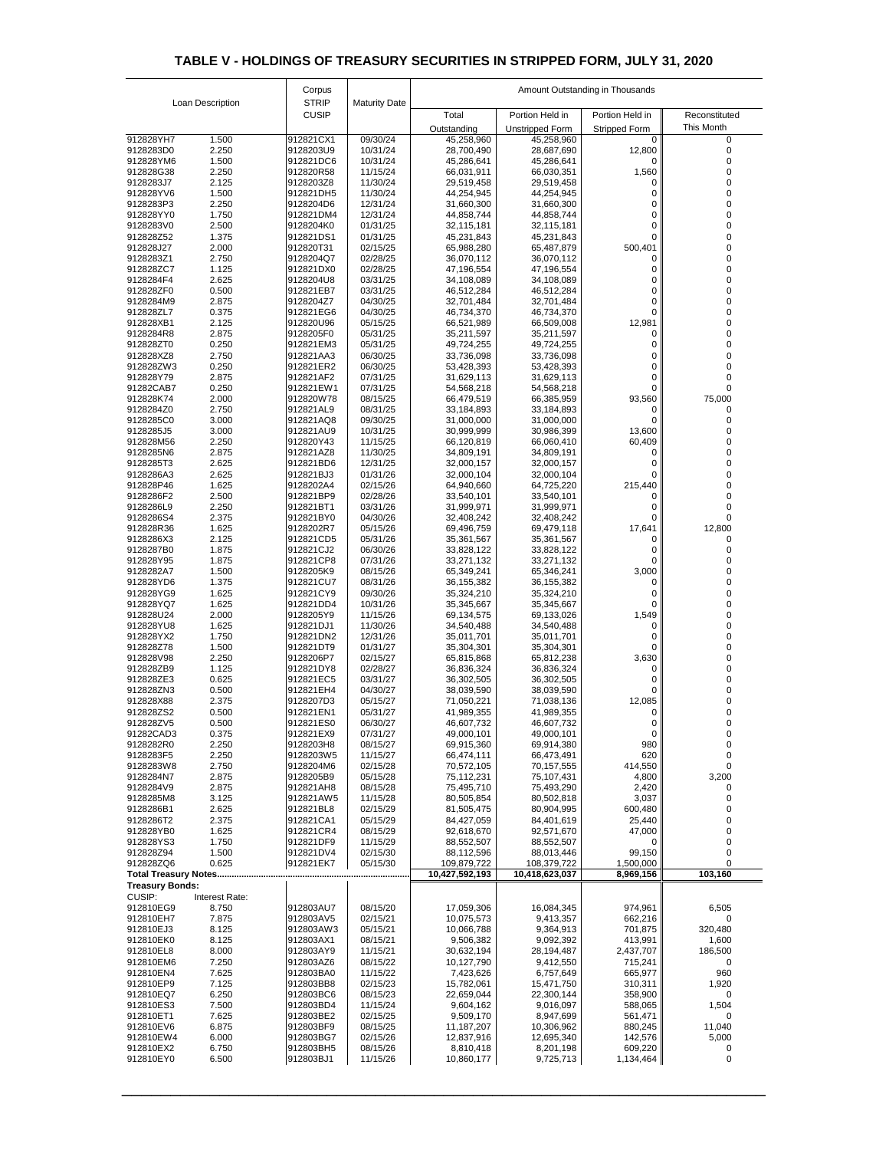|                                         |                  | Corpus                       |                      |                          | Amount Outstanding in Thousands |                      |                   |  |
|-----------------------------------------|------------------|------------------------------|----------------------|--------------------------|---------------------------------|----------------------|-------------------|--|
|                                         | Loan Description | <b>STRIP</b><br><b>CUSIP</b> | <b>Maturity Date</b> | Total                    | Portion Held in                 | Portion Held in      | Reconstituted     |  |
|                                         |                  |                              |                      | Outstanding              | <b>Unstripped Form</b>          | <b>Stripped Form</b> | <b>This Month</b> |  |
| 912828YH7                               | 1.500            | 912821CX1                    | 09/30/24             | 45,258,960               | 45,258,960                      |                      |                   |  |
| 9128283D0<br>912828YM6                  | 2.250<br>1.500   | 9128203U9<br>912821DC6       | 10/31/24<br>10/31/24 | 28,700,490<br>45,286,641 | 28,687,690<br>45,286,641        | 12,800               |                   |  |
| 912828G38                               | 2.250            | 912820R58                    | 11/15/24             | 66,031,911               | 66,030,351                      | 1,560                |                   |  |
| 9128283J7<br>912828YV6                  | 2.125<br>1.500   | 9128203Z8<br>912821DH5       | 11/30/24<br>11/30/24 | 29,519,458               | 29,519,458                      |                      |                   |  |
| 9128283P3                               | 2.250            | 9128204D6                    | 12/31/24             | 44,254,945<br>31,660,300 | 44,254,945<br>31,660,300        |                      |                   |  |
| 912828YY0                               | 1.750            | 912821DM4                    | 12/31/24             | 44,858,744               | 44,858,744                      |                      |                   |  |
| 9128283V0<br>912828Z52                  | 2.500<br>1.375   | 9128204K0<br>912821DS1       | 01/31/25<br>01/31/25 | 32,115,181<br>45,231,843 | 32,115,181<br>45,231,843        |                      |                   |  |
| 912828J27                               | 2.000            | 912820T31                    | 02/15/25             | 65,988,280               | 65,487,879                      | 500,401              |                   |  |
| 9128283Z1                               | 2.750            | 9128204Q7                    | 02/28/25             | 36,070,112               | 36,070,112                      |                      |                   |  |
| 912828ZC7<br>9128284F4                  | 1.125<br>2.625   | 912821DX0<br>9128204U8       | 02/28/25<br>03/31/25 | 47,196,554<br>34,108,089 | 47,196,554<br>34,108,089        |                      |                   |  |
| 912828ZF0                               | 0.500            | 912821EB7                    | 03/31/25             | 46,512,284               | 46,512,284                      |                      |                   |  |
| 9128284M9                               | 2.875            | 9128204Z7                    | 04/30/25             | 32,701,484               | 32,701,484                      |                      |                   |  |
| 912828ZL7<br>912828XB1                  | 0.375<br>2.125   | 912821EG6<br>912820U96       | 04/30/25<br>05/15/25 | 46,734,370<br>66,521,989 | 46,734,370<br>66,509,008        | 12,981               |                   |  |
| 9128284R8                               | 2.875            | 9128205F0                    | 05/31/25             | 35,211,597               | 35,211,597                      |                      |                   |  |
| 912828ZT0                               | 0.250            | 912821EM3                    | 05/31/25             | 49,724,255               | 49,724,255                      |                      |                   |  |
| 912828XZ8<br>912828ZW3                  | 2.750<br>0.250   | 912821AA3<br>912821ER2       | 06/30/25<br>06/30/25 | 33,736,098<br>53,428,393 | 33,736,098<br>53,428,393        | 0                    |                   |  |
| 912828Y79                               | 2.875            | 912821AF2                    | 07/31/25             | 31,629,113               | 31,629,113                      |                      |                   |  |
| 91282CAB7<br>912828K74                  | 0.250<br>2.000   | 912821EW1<br>912820W78       | 07/31/25<br>08/15/25 | 54,568,218               | 54,568,218                      |                      |                   |  |
| 9128284Z0                               | 2.750            | 912821AL9                    | 08/31/25             | 66,479,519<br>33,184,893 | 66,385,959<br>33,184,893        | 93,560<br>0          | 75,000            |  |
| 9128285C0                               | 3.000            | 912821AQ8                    | 09/30/25             | 31,000,000               | 31,000,000                      |                      |                   |  |
| 9128285J5<br>912828M56                  | 3.000<br>2.250   | 912821AU9<br>912820Y43       | 10/31/25<br>11/15/25 | 30,999,999<br>66,120,819 | 30,986,399<br>66,060,410        | 13,600               |                   |  |
| 9128285N6                               | 2.875            | 912821AZ8                    | 11/30/25             | 34,809,191               | 34,809,191                      | 60,409               |                   |  |
| 9128285T3                               | 2.625            | 912821BD6                    | 12/31/25             | 32,000,157               | 32,000,157                      |                      |                   |  |
| 9128286A3<br>912828P46                  | 2.625<br>1.625   | 912821BJ3<br>9128202A4       | 01/31/26<br>02/15/26 | 32,000,104<br>64,940,660 | 32,000,104<br>64,725,220        | 215,440              |                   |  |
| 9128286F2                               | 2.500            | 912821BP9                    | 02/28/26             | 33,540,101               | 33,540,101                      |                      |                   |  |
| 9128286L9                               | 2.250            | 912821BT1                    | 03/31/26             | 31,999,971               | 31,999,971                      |                      |                   |  |
| 9128286S4<br>912828R36                  | 2.375<br>1.625   | 912821BY0<br>9128202R7       | 04/30/26<br>05/15/26 | 32,408,242<br>69,496,759 | 32,408,242<br>69,479,118        | 17,641               | 12,800            |  |
| 9128286X3                               | 2.125            | 912821CD5                    | 05/31/26             | 35,361,567               | 35,361,567                      |                      |                   |  |
| 9128287B0                               | 1.875            | 912821CJ2                    | 06/30/26             | 33,828,122               | 33,828,122                      |                      |                   |  |
| 912828Y95<br>9128282A7                  | 1.875<br>1.500   | 912821CP8<br>9128205K9       | 07/31/26<br>08/15/26 | 33,271,132<br>65,349,241 | 33,271,132<br>65,346,241        | 3,000                |                   |  |
| 912828YD6                               | 1.375            | 912821CU7                    | 08/31/26             | 36, 155, 382             | 36, 155, 382                    |                      |                   |  |
| 912828YG9                               | 1.625            | 912821CY9                    | 09/30/26             | 35,324,210               | 35,324,210                      |                      |                   |  |
| 912828YQ7<br>912828U24                  | 1.625<br>2.000   | 912821DD4<br>9128205Y9       | 10/31/26<br>11/15/26 | 35,345,667<br>69,134,575 | 35,345,667<br>69,133,026        | 1,549                |                   |  |
| 912828YU8                               | 1.625            | 912821DJ1                    | 11/30/26             | 34,540,488               | 34,540,488                      |                      |                   |  |
| 912828YX2<br>912828Z78                  | 1.750<br>1.500   | 912821DN2<br>912821DT9       | 12/31/26<br>01/31/27 | 35,011,701<br>35,304,301 | 35,011,701<br>35,304,301        |                      |                   |  |
| 912828V98                               | 2.250            | 9128206P7                    | 02/15/27             | 65,815,868               | 65,812,238                      | 3,630                |                   |  |
| 912828ZB9                               | 1.125            | 912821DY8                    | 02/28/27             | 36,836,324               | 36,836,324                      |                      |                   |  |
| 912828ZE3<br>912828ZN3                  | 0.625<br>0.500   | 912821EC5<br>912821EH4       | 03/31/27<br>04/30/27 | 36,302,505<br>38,039,590 | 36,302,505<br>38,039,590        |                      |                   |  |
| 912828X88                               | 2.375            | 9128207D3                    | 05/15/27             | 71,050,221               | 71,038,136                      | 12,085               |                   |  |
| 912828ZS2                               | 0.500            | 912821EN1                    | 05/31/27             | 41,989,355               | 41,989,355                      | 0                    |                   |  |
| 912828ZV5<br>91282CAD3                  | 0.500<br>0.375   | 912821ES0<br>912821EX9       | 06/30/27<br>07/31/27 | 46,607,732<br>49,000,101 | 46,607,732<br>49,000,101        |                      |                   |  |
| 9128282R0                               | 2.250            | 9128203H8                    | 08/15/27             | 69,915,360               | 69,914,380                      | 980                  |                   |  |
| 9128283F5                               | 2.250            | 9128203W5                    | 11/15/27             | 66,474,111               | 66,473,491                      | 620                  | 0                 |  |
| 9128283W8<br>9128284N7                  | 2.750<br>2.875   | 9128204M6<br>9128205B9       | 02/15/28<br>05/15/28 | 70,572,105<br>75,112,231 | 70,157,555<br>75,107,431        | 414,550<br>4,800     | 0<br>3,200        |  |
| 9128284V9                               | 2.875            | 912821AH8                    | 08/15/28             | 75,495,710               | 75,493,290                      | 2,420                |                   |  |
| 9128285M8<br>9128286B1                  | 3.125<br>2.625   | 912821AW5<br>912821BL8       | 11/15/28<br>02/15/29 | 80,505,854<br>81,505,475 | 80,502,818<br>80,904,995        | 3,037<br>600,480     |                   |  |
| 9128286T2                               | 2.375            | 912821CA1                    | 05/15/29             | 84,427,059               | 84,401,619                      | 25,440               |                   |  |
| 912828YB0                               | 1.625            | 912821CR4                    | 08/15/29             | 92,618,670               | 92,571,670                      | 47,000               |                   |  |
| 912828YS3<br>912828Z94                  | 1.750<br>1.500   | 912821DF9<br>912821DV4       | 11/15/29<br>02/15/30 | 88,552,507<br>88,112,596 | 88,552,507<br>88,013,446        | 0<br>99,150          | $\mathcal{O}$     |  |
| 912828ZQ6                               | 0.625            | 912821EK7                    | 05/15/30             | 109,879,722              | 108,379,722                     | 1,500,000            |                   |  |
| <b>Total Treasury Notes</b>             |                  |                              |                      | 10,427,592,193           | 10,418,623,037                  | 8,969,156            | 103,160           |  |
| <b>Treasury Bonds:</b><br><b>CUSIP:</b> | Interest Rate:   |                              |                      |                          |                                 |                      |                   |  |
| 912810EG9                               | 8.750            | 912803AU7                    | 08/15/20             | 17,059,306               | 16,084,345                      | 974,961              | 6,505             |  |
| 912810EH7                               | 7.875            | 912803AV5                    | 02/15/21             | 10,075,573               | 9,413,357                       | 662,216              | $\Omega$          |  |
| 912810EJ3<br>912810EK0                  | 8.125<br>8.125   | 912803AW3<br>912803AX1       | 05/15/21<br>08/15/21 | 10,066,788<br>9,506,382  | 9,364,913<br>9,092,392          | 701,875<br>413,991   | 320,480<br>1,600  |  |
| 912810EL8                               | 8.000            | 912803AY9                    | 11/15/21             | 30,632,194               | 28,194,487                      | 2,437,707            | 186,500           |  |
| 912810EM6                               | 7.250            | 912803AZ6                    | 08/15/22             | 10,127,790               | 9,412,550                       | 715,241              | 0                 |  |
| 912810EN4<br>912810EP9                  | 7.625<br>7.125   | 912803BA0<br>912803BB8       | 11/15/22<br>02/15/23 | 7,423,626<br>15,782,061  | 6,757,649<br>15,471,750         | 665,977<br>310,311   | 960<br>1,920      |  |
| 912810EQ7                               | 6.250            | 912803BC6                    | 08/15/23             | 22,659,044               | 22,300,144                      | 358,900              | 0                 |  |
| 912810ES3<br>912810ET1                  | 7.500<br>7.625   | 912803BD4<br>912803BE2       | 11/15/24<br>02/15/25 | 9,604,162                | 9,016,097                       | 588,065              | 1,504<br>$\Omega$ |  |
| 912810EV6                               | 6.875            | 912803BF9                    | 08/15/25             | 9,509,170<br>11,187,207  | 8,947,699<br>10,306,962         | 561,471<br>880,245   | 11,040            |  |
| 912810EW4                               | 6.000            | 912803BG7                    | 02/15/26             | 12,837,916               | 12,695,340                      | 142,576              | 5,000             |  |
| 912810EX2<br>912810EY0                  | 6.750<br>6.500   | 912803BH5<br>912803BJ1       | 08/15/26<br>11/15/26 | 8,810,418<br>10,860,177  | 8,201,198                       | 609,220              | $\overline{0}$    |  |
|                                         |                  |                              |                      |                          | 9,725,713                       | 1,134,464            |                   |  |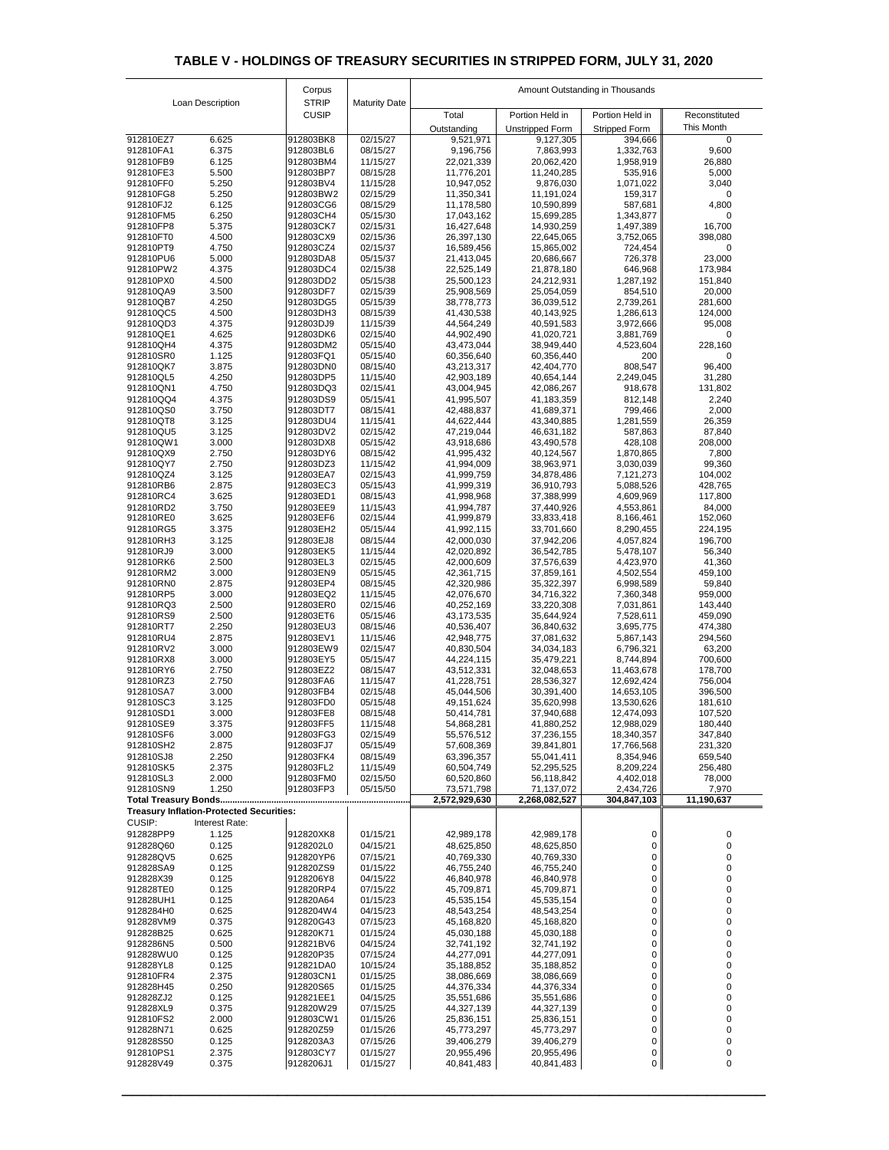|                        |                                                 | Corpus                       |                      | Amount Outstanding in Thousands |                             |                          |                     |  |
|------------------------|-------------------------------------------------|------------------------------|----------------------|---------------------------------|-----------------------------|--------------------------|---------------------|--|
|                        | Loan Description                                | <b>STRIP</b><br><b>CUSIP</b> | <b>Maturity Date</b> | Total                           | Portion Held in             | Portion Held in          | Reconstituted       |  |
|                        |                                                 |                              |                      | Outstanding                     | <b>Unstripped Form</b>      | <b>Stripped Form</b>     | This Month          |  |
| 912810EZ7              | 6.625                                           | 912803BK8                    | 02/15/27             | 9,521,971                       | 9,127,305                   | 394,666                  | $\mathbf 0$         |  |
| 912810FA1<br>912810FB9 | 6.375<br>6.125                                  | 912803BL6<br>912803BM4       | 08/15/27<br>11/15/27 | 9,196,756<br>22,021,339         | 7,863,993<br>20,062,420     | 1,332,763<br>1,958,919   | 9,600<br>26,880     |  |
| 912810FE3              | 5.500                                           | 912803BP7                    | 08/15/28             | 11,776,201                      | 11,240,285                  | 535,916                  | 5,000               |  |
| 912810FF0              | 5.250                                           | 912803BV4                    | 11/15/28             | 10,947,052                      | 9,876,030                   | 1,071,022                | 3,040               |  |
| 912810FG8              | 5.250                                           | 912803BW2                    | 02/15/29             | 11,350,341                      | 11,191,024                  | 159,317                  | 0                   |  |
| 912810FJ2<br>912810FM5 | 6.125<br>6.250                                  | 912803CG6<br>912803CH4       | 08/15/29<br>05/15/30 | 11,178,580<br>17,043,162        | 10,590,899<br>15,699,285    | 587,681<br>1,343,877     | 4,800<br>0          |  |
| 912810FP8              | 5.375                                           | 912803CK7                    | 02/15/31             | 16,427,648                      | 14,930,259                  | 1,497,389                | 16,700              |  |
| 912810FT0              | 4.500                                           | 912803CX9                    | 02/15/36             | 26,397,130                      | 22,645,065                  | 3,752,065                | 398,080             |  |
| 912810PT9              | 4.750                                           | 912803CZ4                    | 02/15/37             | 16,589,456                      | 15,865,002                  | 724,454                  | 0                   |  |
| 912810PU6<br>912810PW2 | 5.000<br>4.375                                  | 912803DA8<br>912803DC4       | 05/15/37<br>02/15/38 | 21,413,045<br>22,525,149        | 20,686,667<br>21,878,180    | 726,378<br>646,968       | 23,000<br>173,984   |  |
| 912810PX0              | 4.500                                           | 912803DD2                    | 05/15/38             | 25,500,123                      | 24,212,931                  | 1,287,192                | 151,840             |  |
| 912810QA9              | 3.500                                           | 912803DF7                    | 02/15/39             | 25,908,569                      | 25,054,059                  | 854,510                  | 20,000              |  |
| 912810QB7<br>912810QC5 | 4.250<br>4.500                                  | 912803DG5<br>912803DH3       | 05/15/39<br>08/15/39 | 38,778,773                      | 36,039,512                  | 2,739,261                | 281,600<br>124,000  |  |
| 912810QD3              | 4.375                                           | 912803DJ9                    | 11/15/39             | 41,430,538<br>44,564,249        | 40,143,925<br>40,591,583    | 1,286,613<br>3,972,666   | 95,008              |  |
| 912810QE1              | 4.625                                           | 912803DK6                    | 02/15/40             | 44,902,490                      | 41,020,721                  | 3,881,769                | 0                   |  |
| 912810QH4              | 4.375                                           | 912803DM2                    | 05/15/40             | 43,473,044                      | 38,949,440                  | 4,523,604                | 228,160             |  |
| 912810SR0<br>912810QK7 | 1.125<br>3.875                                  | 912803FQ1<br>912803DN0       | 05/15/40<br>08/15/40 | 60,356,640<br>43,213,317        | 60,356,440<br>42,404,770    | 200<br>808,547           | 0<br>96,400         |  |
| 912810QL5              | 4.250                                           | 912803DP5                    | 11/15/40             | 42,903,189                      | 40,654,144                  | 2,249,045                | 31,280              |  |
| 912810QN1              | 4.750                                           | 912803DQ3                    | 02/15/41             | 43,004,945                      | 42,086,267                  | 918,678                  | 131,802             |  |
| 912810QQ4              | 4.375                                           | 912803DS9                    | 05/15/41             | 41,995,507                      | 41,183,359                  | 812,148                  | 2,240               |  |
| 912810QS0<br>912810QT8 | 3.750<br>3.125                                  | 912803DT7<br>912803DU4       | 08/15/41<br>11/15/41 | 42,488,837<br>44,622,444        | 41,689,371<br>43,340,885    | 799,466<br>1,281,559     | 2,000<br>26,359     |  |
| 912810QU5              | 3.125                                           | 912803DV2                    | 02/15/42             | 47,219,044                      | 46,631,182                  | 587,863                  | 87,840              |  |
| 912810QW1              | 3.000                                           | 912803DX8                    | 05/15/42             | 43,918,686                      | 43,490,578                  | 428,108                  | 208,000             |  |
| 912810QX9              | 2.750                                           | 912803DY6                    | 08/15/42             | 41,995,432                      | 40,124,567                  | 1,870,865                | 7,800               |  |
| 912810QY7<br>912810QZ4 | 2.750<br>3.125                                  | 912803DZ3<br>912803EA7       | 11/15/42<br>02/15/43 | 41,994,009<br>41,999,759        | 38,963,971<br>34,878,486    | 3,030,039<br>7,121,273   | 99,360<br>104,002   |  |
| 912810RB6              | 2.875                                           | 912803EC3                    | 05/15/43             | 41,999,319                      | 36,910,793                  | 5,088,526                | 428,765             |  |
| 912810RC4              | 3.625                                           | 912803ED1                    | 08/15/43             | 41,998,968                      | 37,388,999                  | 4,609,969                | 117,800             |  |
| 912810RD2              | 3.750                                           | 912803EE9                    | 11/15/43             | 41,994,787                      | 37,440,926                  | 4,553,861                | 84,000              |  |
| 912810RE0<br>912810RG5 | 3.625<br>3.375                                  | 912803EF6<br>912803EH2       | 02/15/44<br>05/15/44 | 41,999,879<br>41,992,115        | 33,833,418<br>33,701,660    | 8,166,461<br>8,290,455   | 152,060<br>224,195  |  |
| 912810RH3              | 3.125                                           | 912803EJ8                    | 08/15/44             | 42,000,030                      | 37,942,206                  | 4,057,824                | 196,700             |  |
| 912810RJ9              | 3.000                                           | 912803EK5                    | 11/15/44             | 42,020,892                      | 36,542,785                  | 5,478,107                | 56,340              |  |
| 912810RK6              | 2.500                                           | 912803EL3                    | 02/15/45             | 42,000,609                      | 37,576,639                  | 4,423,970                | 41,360              |  |
| 912810RM2<br>912810RN0 | 3.000<br>2.875                                  | 912803EN9<br>912803EP4       | 05/15/45             | 42,361,715                      | 37,859,161                  | 4,502,554                | 459,100<br>59,840   |  |
| 912810RP5              | 3.000                                           | 912803EQ2                    | 08/15/45<br>11/15/45 | 42,320,986<br>42,076,670        | 35,322,397<br>34,716,322    | 6,998,589<br>7,360,348   | 959,000             |  |
| 912810RQ3              | 2.500                                           | 912803ER0                    | 02/15/46             | 40,252,169                      | 33,220,308                  | 7,031,861                | 143,440             |  |
| 912810RS9              | 2.500                                           | 912803ET6                    | 05/15/46             | 43,173,535                      | 35,644,924                  | 7,528,611                | 459,090             |  |
| 912810RT7<br>912810RU4 | 2.250<br>2.875                                  | 912803EU3<br>912803EV1       | 08/15/46<br>11/15/46 | 40,536,407<br>42,948,775        | 36,840,632<br>37,081,632    | 3,695,775<br>5,867,143   | 474,380<br>294,560  |  |
| 912810RV2              | 3.000                                           | 912803EW9                    | 02/15/47             | 40,830,504                      | 34,034,183                  | 6,796,321                | 63,200              |  |
| 912810RX8              | 3.000                                           | 912803EY5                    | 05/15/47             | 44,224,115                      | 35,479,221                  | 8,744,894                | 700,600             |  |
| 912810RY6              | 2.750                                           | 912803EZ2                    | 08/15/47             | 43,512,331                      | 32,048,653                  | 11,463,678               | 178,700             |  |
| 912810RZ3<br>912810SA7 | 2.750<br>3.000                                  | 912803FA6<br>912803FB4       | 11/15/47<br>02/15/48 | 41,228,751<br>45,044,506        | 28,536,327<br>30,391,400    | 12,692,424<br>14,653,105 | 756,004<br>396,500  |  |
| 912810SC3              | 3.125                                           | 912803FD0                    | 05/15/48             | 49,151,624                      | 35,620,998                  | 13,530,626               | 181,610             |  |
| 912810SD1              | 3.000                                           | 912803FE8                    | 08/15/48             | 50,414,781                      | 37,940,688                  | 12,474,093               | 107,520             |  |
| 912810SE9              | 3.375                                           | 912803FF5                    | 11/15/48             | 54,868,281                      | 41,880,252                  | 12,988,029               | 180,440             |  |
| 912810SF6<br>912810SH2 | 3.000<br>2.875                                  | 912803FG3<br>912803FJ7       | 02/15/49<br>05/15/49 | 55,576,512<br>57,608,369        | 37,236,155<br>39,841,801    | 18,340,357<br>17,766,568 | 347,840<br>231,320  |  |
| 912810SJ8              | 2.250                                           | 912803FK4                    | 08/15/49             | 63,396,357                      | 55,041,411                  | 8,354,946                | 659,540             |  |
| 912810SK5              | 2.375                                           | 912803FL2                    | 11/15/49             | 60,504,749                      | 52,295,525                  | 8,209,224                | 256,480             |  |
| 912810SL3              | 2.000<br>1.250                                  | 912803FM0                    | 02/15/50<br>05/15/50 | 60,520,860<br>73,571,798        | 56,118,842                  | 4,402,018                | 78,000              |  |
| 912810SN9              |                                                 | 912803FP3                    |                      | 2,572,929,630                   | 71,137,072<br>2,268,082,527 | 2,434,726<br>304,847,103 | 7,970<br>11,190,637 |  |
|                        | <b>Treasury Inflation-Protected Securities:</b> |                              |                      |                                 |                             |                          |                     |  |
| CUSIP:                 | Interest Rate:                                  |                              |                      |                                 |                             |                          |                     |  |
| 912828PP9              | 1.125                                           | 912820XK8                    | 01/15/21             | 42,989,178                      | 42,989,178                  | 0                        | 0                   |  |
| 912828Q60<br>912828QV5 | 0.125<br>0.625                                  | 9128202L0<br>912820YP6       | 04/15/21<br>07/15/21 | 48,625,850<br>40,769,330        | 48,625,850<br>40,769,330    | 0<br>0                   | 0<br>0              |  |
| 912828SA9              | 0.125                                           | 912820ZS9                    | 01/15/22             | 46,755,240                      | 46,755,240                  | 0                        | 0                   |  |
| 912828X39              | 0.125                                           | 9128206Y8                    | 04/15/22             | 46,840,978                      | 46,840,978                  | $\mathbf 0$              | 0                   |  |
| 912828TE0              | 0.125                                           | 912820RP4                    | 07/15/22             | 45,709,871                      | 45,709,871                  | 0                        | 0                   |  |
| 912828UH1<br>9128284H0 | 0.125<br>0.625                                  | 912820A64<br>9128204W4       | 01/15/23<br>04/15/23 | 45,535,154<br>48,543,254        | 45,535,154<br>48,543,254    | $\mathbf 0$<br>0         | 0                   |  |
| 912828VM9              | 0.375                                           | 912820G43                    | 07/15/23             | 45,168,820                      | 45,168,820                  | 0                        |                     |  |
| 912828B25              | 0.625                                           | 912820K71                    | 01/15/24             | 45,030,188                      | 45,030,188                  | $\mathbf 0$              |                     |  |
| 9128286N5              | 0.500                                           | 912821BV6                    | 04/15/24             | 32,741,192                      | 32,741,192                  | 0                        | 0                   |  |
| 912828WU0<br>912828YL8 | 0.125<br>0.125                                  | 912820P35<br>912821DA0       | 07/15/24<br>10/15/24 | 44,277,091<br>35,188,852        | 44,277,091<br>35,188,852    | 0<br>$\mathbf 0$         |                     |  |
| 912810FR4              | 2.375                                           | 912803CN1                    | 01/15/25             | 38,086,669                      | 38,086,669                  | 0                        | 0                   |  |
| 912828H45              | 0.250                                           | 912820S65                    | 01/15/25             | 44,376,334                      | 44,376,334                  | $\mathbf 0$              |                     |  |
| 912828ZJ2              | 0.125                                           | 912821EE1                    | 04/15/25             | 35,551,686                      | 35,551,686                  | 0                        |                     |  |
| 912828XL9<br>912810FS2 | 0.375<br>2.000                                  | 912820W29<br>912803CW1       | 07/15/25<br>01/15/26 | 44,327,139<br>25,836,151        | 44,327,139<br>25,836,151    | 0<br>$\mathbf 0$         |                     |  |
| 912828N71              | 0.625                                           | 912820Z59                    | 01/15/26             | 45,773,297                      | 45,773,297                  | 0                        | 0                   |  |
| 912828S50              | 0.125                                           | 9128203A3                    | 07/15/26             | 39,406,279                      | 39,406,279                  | $\mathbf 0$              | 0                   |  |
| 912810PS1              | 2.375                                           | 912803CY7                    | 01/15/27             | 20,955,496                      | 20,955,496                  | 0                        | 0                   |  |
| 912828V49              | 0.375                                           | 9128206J1                    | 01/15/27             | 40,841,483                      | 40,841,483                  | $\overline{0}$           | $\overline{0}$      |  |